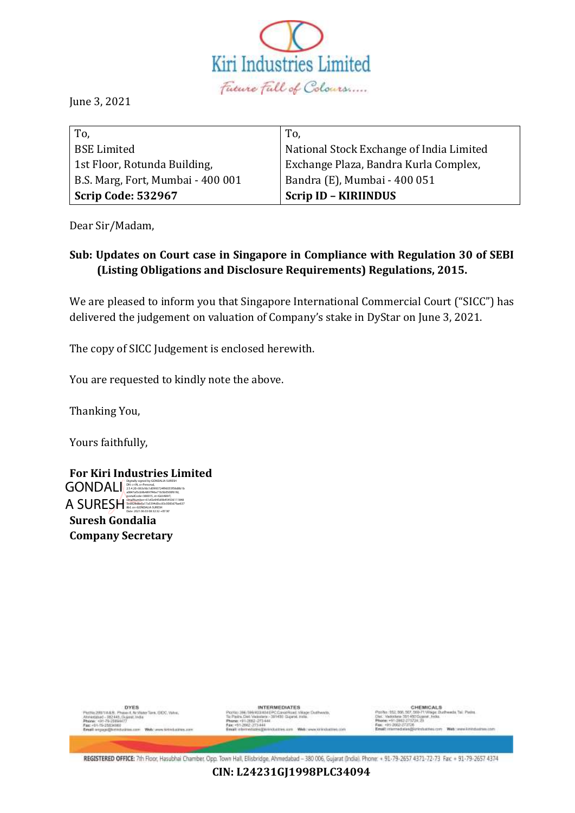

June 3, 2021

| To,                               | To.                                      |
|-----------------------------------|------------------------------------------|
| <b>BSE Limited</b>                | National Stock Exchange of India Limited |
| 1st Floor, Rotunda Building,      | Exchange Plaza, Bandra Kurla Complex,    |
| B.S. Marg, Fort, Mumbai - 400 001 | Bandra (E), Mumbai - 400 051             |
| <b>Scrip Code: 532967</b>         | <b>Scrip ID - KIRIINDUS</b>              |

Dear Sir/Madam,

# **Sub: Updates on Court case in Singapore in Compliance with Regulation 30 of SEBI (Listing Obligations and Disclosure Requirements) Regulations, 2015.**

We are pleased to inform you that Singapore International Commercial Court ("SICC") has delivered the judgement on valuation of Company's stake in DyStar on June 3, 2021.

The copy of SICC Judgement is enclosed herewith.

You are requested to kindly note the above.

Thanking You,

Yours faithfully,

|                          | <b>For Kiri Industries Limited</b>                                                                                                                                              |
|--------------------------|---------------------------------------------------------------------------------------------------------------------------------------------------------------------------------|
| <b>GONDALI</b>           | Digitally signed by GONDALIA SURESH<br>DN: c=IN, o=Personal.<br>2.5.4.20=063cfdc1d0993724f96055f58d8b1b<br>a0847af3cb9b4897f46e71b5b0500f61fd.<br>postalCode=380015.st=GUJARAT. |
| A SURESH                 | serialNumber=61ef2e945d9b454536111848<br>Sed828d8e6a17a5394d0cc83c0083d7fae637<br>8bf. cn=GONDALIA SURESH<br>Date: 2021.06.03 08:32:32 +05'30"                                  |
| <b>Suresh Gondalia</b>   |                                                                                                                                                                                 |
| <b>Company Secretary</b> |                                                                                                                                                                                 |

**DYES** lava, GCC, Vi **INTERMEDIATES** 

CHEMICALS<br>7, 553-71 Village Durhweds, Tail Parins<br>450 Gujarat, India. on With: www.kinindustries.com

REGISTERED OFFICE: 7th Floor, Hasubhai Chamber, Opp. Town Hall, Elisbridge, Ahmedabad - 380 006, Gujarat (India). Phone: + 91-79-2657 4371-72-73 Fax: + 91-79-2657 4374

**CIN: L24231GJ1998PLC34094**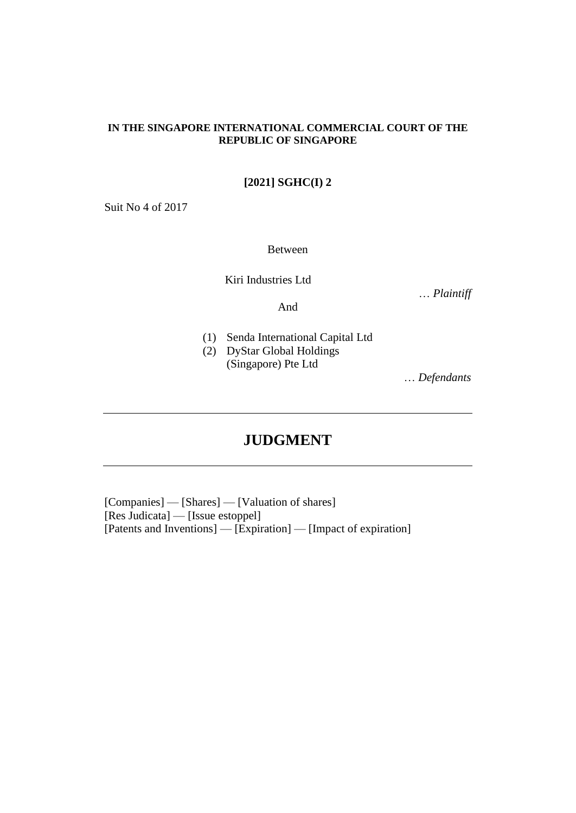## **IN THE SINGAPORE INTERNATIONAL COMMERCIAL COURT OF THE REPUBLIC OF SINGAPORE**

# **[2021] SGHC(I) 2**

Suit No 4 of 2017

Between

Kiri Industries Ltd

… *Plaintiff*

And

- 
- (1) Senda International Capital Ltd
- (2) DyStar Global Holdings (Singapore) Pte Ltd

… *Defendants*

# **JUDGMENT**

[Companies] — [Shares] — [Valuation of shares] [Res Judicata] — [Issue estoppel] [Patents and Inventions] — [Expiration] — [Impact of expiration]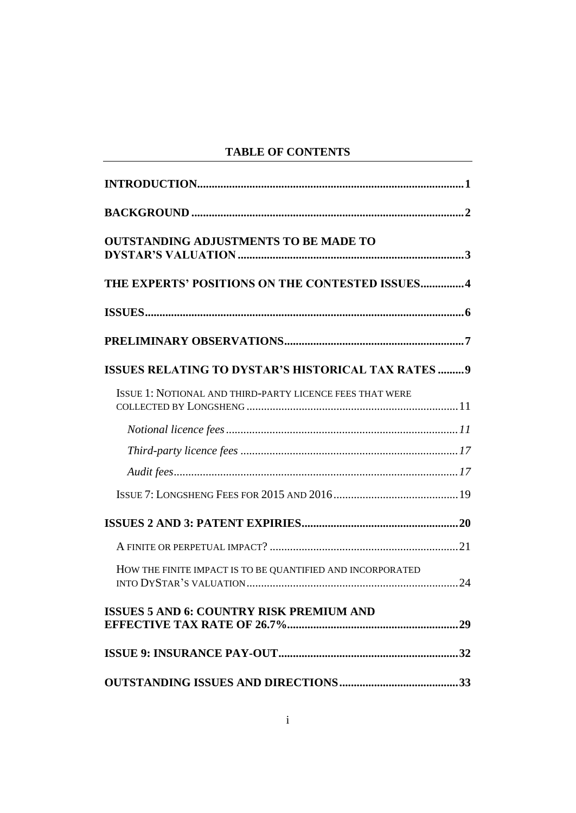# **TABLE OF CONTENTS**

| <b>OUTSTANDING ADJUSTMENTS TO BE MADE TO</b>               |
|------------------------------------------------------------|
| THE EXPERTS' POSITIONS ON THE CONTESTED ISSUES4            |
|                                                            |
|                                                            |
| ISSUES RELATING TO DYSTAR'S HISTORICAL TAX RATES  9        |
| ISSUE 1: NOTIONAL AND THIRD-PARTY LICENCE FEES THAT WERE   |
|                                                            |
|                                                            |
|                                                            |
|                                                            |
|                                                            |
|                                                            |
| HOW THE FINITE IMPACT IS TO BE QUANTIFIED AND INCORPORATED |
| <b>ISSUES 5 AND 6: COUNTRY RISK PREMIUM AND</b>            |
|                                                            |
|                                                            |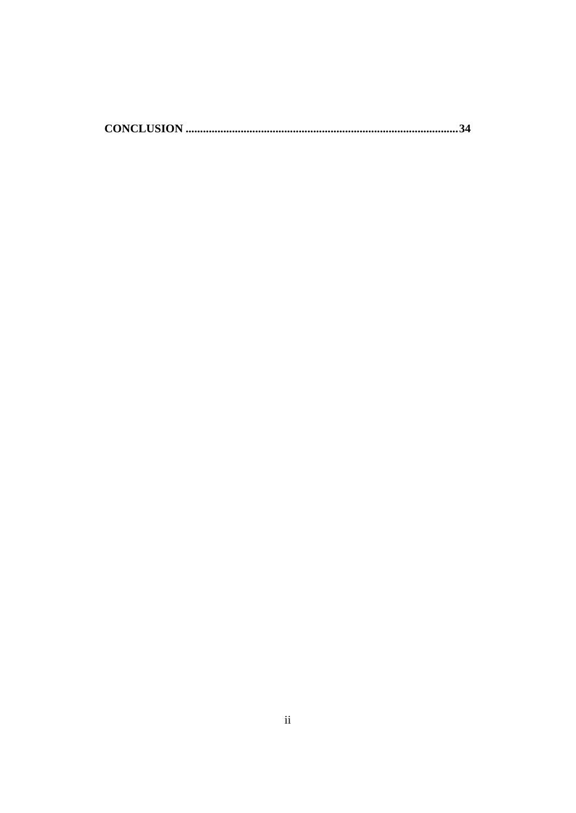|--|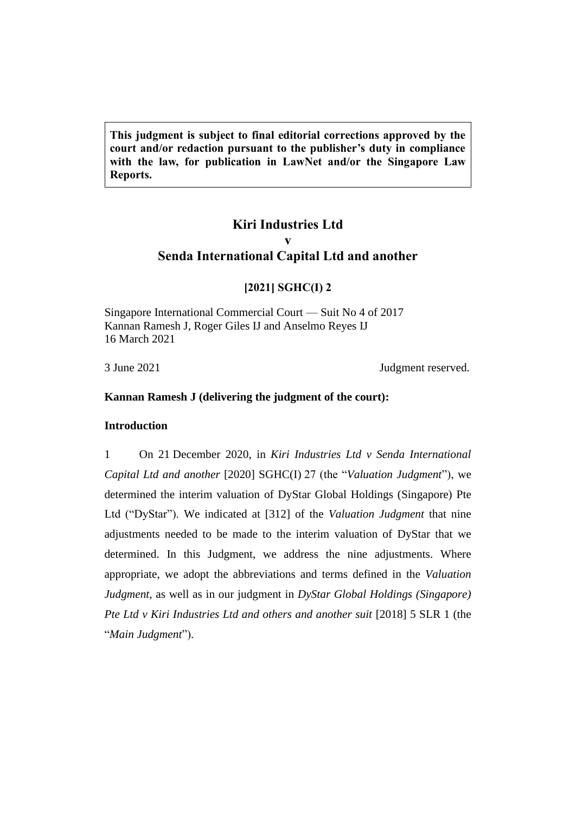**This judgment is subject to final editorial corrections approved by the court and/or redaction pursuant to the publisher's duty in compliance with the law, for publication in LawNet and/or the Singapore Law Reports.**

# **Kiri Industries Ltd v Senda International Capital Ltd and another**

# **[2021] SGHC(I) 2**

Singapore International Commercial Court — Suit No 4 of 2017 Kannan Ramesh J, Roger Giles IJ and Anselmo Reyes IJ 16 March 2021

3 June 2021 Judgment reserved.

# <span id="page-4-0"></span>**Kannan Ramesh J (delivering the judgment of the court):**

#### **Introduction**

1 On 21 December 2020, in *Kiri Industries Ltd v Senda International Capital Ltd and another* [2020] SGHC(I) 27 (the "*Valuation Judgment*"), we determined the interim valuation of DyStar Global Holdings (Singapore) Pte Ltd ("DyStar"). We indicated at [312] of the *Valuation Judgment* that nine adjustments needed to be made to the interim valuation of DyStar that we determined. In this Judgment, we address the nine adjustments. Where appropriate, we adopt the abbreviations and terms defined in the *Valuation Judgment*, as well as in our judgment in *DyStar Global Holdings (Singapore) Pte Ltd v Kiri Industries Ltd and others and another suit* [2018] 5 SLR 1 (the "*Main Judgment*").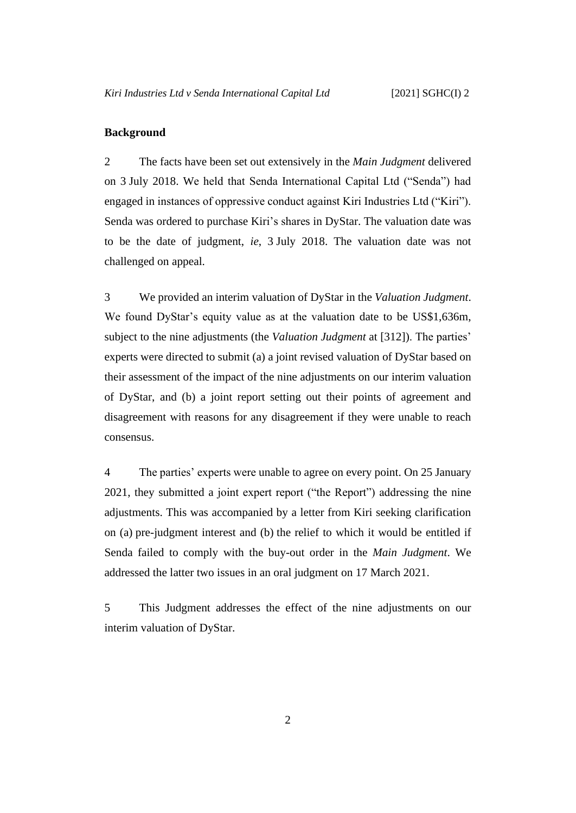### <span id="page-5-0"></span>**Background**

2 The facts have been set out extensively in the *Main Judgment* delivered on 3 July 2018. We held that Senda International Capital Ltd ("Senda") had engaged in instances of oppressive conduct against Kiri Industries Ltd ("Kiri"). Senda was ordered to purchase Kiri's shares in DyStar. The valuation date was to be the date of judgment, *ie*, 3 July 2018. The valuation date was not challenged on appeal.

3 We provided an interim valuation of DyStar in the *Valuation Judgment*. We found DyStar's equity value as at the valuation date to be US\$1,636m, subject to the nine adjustments (the *Valuation Judgment* at [312]). The parties' experts were directed to submit (a) a joint revised valuation of DyStar based on their assessment of the impact of the nine adjustments on our interim valuation of DyStar, and (b) a joint report setting out their points of agreement and disagreement with reasons for any disagreement if they were unable to reach consensus.

4 The parties' experts were unable to agree on every point. On 25 January 2021, they submitted a joint expert report ("the Report") addressing the nine adjustments. This was accompanied by a letter from Kiri seeking clarification on (a) pre-judgment interest and (b) the relief to which it would be entitled if Senda failed to comply with the buy-out order in the *Main Judgment*. We addressed the latter two issues in an oral judgment on 17 March 2021.

5 This Judgment addresses the effect of the nine adjustments on our interim valuation of DyStar.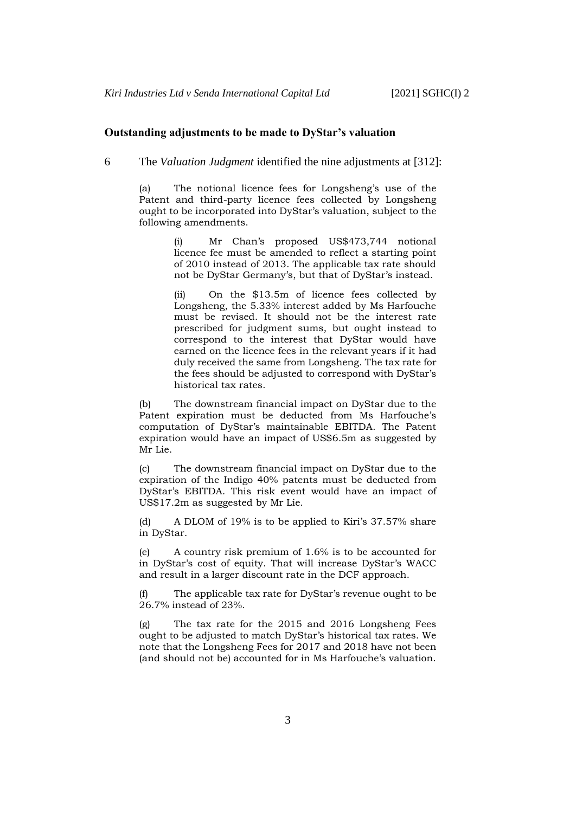#### <span id="page-6-0"></span>**Outstanding adjustments to be made to DyStar's valuation**

6 The *Valuation Judgment* identified the nine adjustments at [312]:

(a) The notional licence fees for Longsheng's use of the Patent and third-party licence fees collected by Longsheng ought to be incorporated into DyStar's valuation, subject to the following amendments.

> Mr Chan's proposed US\$473,744 notional licence fee must be amended to reflect a starting point of 2010 instead of 2013. The applicable tax rate should not be DyStar Germany's, but that of DyStar's instead.

> (ii) On the \$13.5m of licence fees collected by Longsheng, the 5.33% interest added by Ms Harfouche must be revised. It should not be the interest rate prescribed for judgment sums, but ought instead to correspond to the interest that DyStar would have earned on the licence fees in the relevant years if it had duly received the same from Longsheng. The tax rate for the fees should be adjusted to correspond with DyStar's historical tax rates.

(b) The downstream financial impact on DyStar due to the Patent expiration must be deducted from Ms Harfouche's computation of DyStar's maintainable EBITDA. The Patent expiration would have an impact of US\$6.5m as suggested by Mr Lie.

(c) The downstream financial impact on DyStar due to the expiration of the Indigo 40% patents must be deducted from DyStar's EBITDA. This risk event would have an impact of US\$17.2m as suggested by Mr Lie.

(d) A DLOM of 19% is to be applied to Kiri's 37.57% share in DyStar.

(e) A country risk premium of 1.6% is to be accounted for in DyStar's cost of equity. That will increase DyStar's WACC and result in a larger discount rate in the DCF approach.

(f) The applicable tax rate for DyStar's revenue ought to be 26.7% instead of 23%.

(g) The tax rate for the 2015 and 2016 Longsheng Fees ought to be adjusted to match DyStar's historical tax rates. We note that the Longsheng Fees for 2017 and 2018 have not been (and should not be) accounted for in Ms Harfouche's valuation.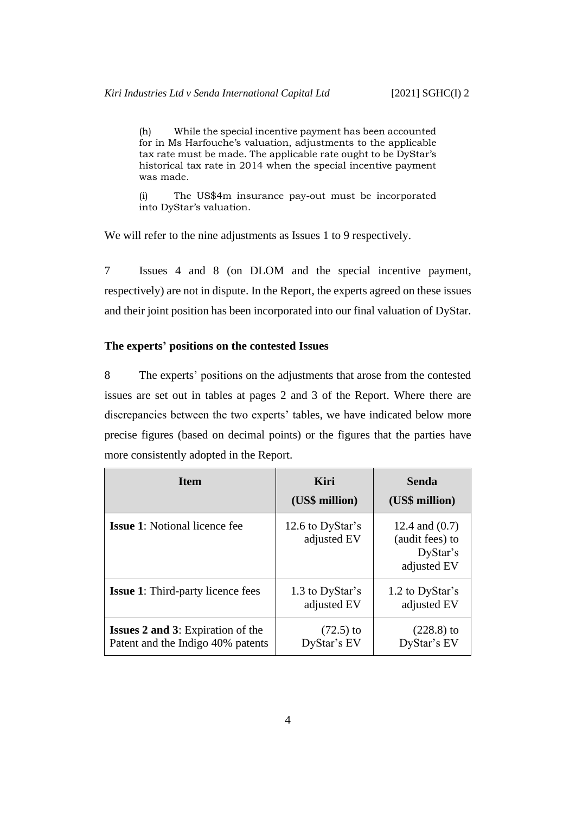(h) While the special incentive payment has been accounted for in Ms Harfouche's valuation, adjustments to the applicable tax rate must be made. The applicable rate ought to be DyStar's historical tax rate in 2014 when the special incentive payment was made.

(i) The US\$4m insurance pay-out must be incorporated into DyStar's valuation.

We will refer to the nine adjustments as Issues 1 to 9 respectively.

7 Issues 4 and 8 (on DLOM and the special incentive payment, respectively) are not in dispute. In the Report, the experts agreed on these issues and their joint position has been incorporated into our final valuation of DyStar.

### <span id="page-7-0"></span>**The experts' positions on the contested Issues**

8 The experts' positions on the adjustments that arose from the contested issues are set out in tables at pages 2 and 3 of the Report. Where there are discrepancies between the two experts' tables, we have indicated below more precise figures (based on decimal points) or the figures that the parties have more consistently adopted in the Report.

| <b>Item</b>                                                                   | Kiri<br>(US\$ million)          | <b>Senda</b><br>(US\$ million)                                 |
|-------------------------------------------------------------------------------|---------------------------------|----------------------------------------------------------------|
| <b>Issue 1:</b> Notional licence fee                                          | 12.6 to DyStar's<br>adjusted EV | 12.4 and $(0.7)$<br>(audit fees) to<br>DyStar's<br>adjusted EV |
| <b>Issue 1:</b> Third-party licence fees                                      | 1.3 to DyStar's<br>adjusted EV  | 1.2 to DyStar's<br>adjusted EV                                 |
| <b>Issues 2 and 3:</b> Expiration of the<br>Patent and the Indigo 40% patents | $(72.5)$ to<br>DyStar's EV      | $(228.8)$ to<br>DyStar's EV                                    |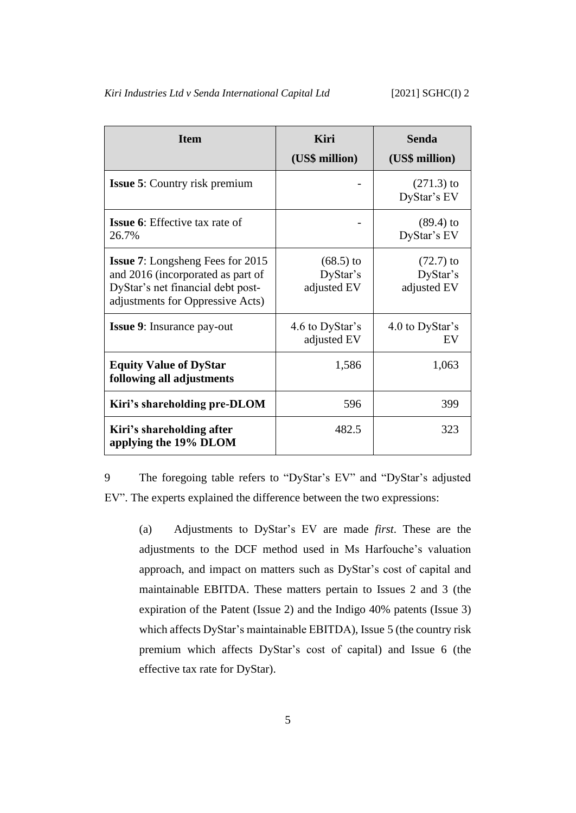| <b>Item</b>                                                                                                                                           | Kiri<br>(US\$ million)                 | Senda<br>(US\$ million)                |  |  |
|-------------------------------------------------------------------------------------------------------------------------------------------------------|----------------------------------------|----------------------------------------|--|--|
| <b>Issue 5:</b> Country risk premium                                                                                                                  |                                        | $(271.3)$ to<br>DyStar's EV            |  |  |
| <b>Issue 6:</b> Effective tax rate of<br>26.7%                                                                                                        |                                        | $(89.4)$ to<br>DyStar's EV             |  |  |
| <b>Issue 7:</b> Longsheng Fees for 2015<br>and 2016 (incorporated as part of<br>DyStar's net financial debt post-<br>adjustments for Oppressive Acts) | $(68.5)$ to<br>DyStar's<br>adjusted EV | $(72.7)$ to<br>DyStar's<br>adjusted EV |  |  |
| <b>Issue 9:</b> Insurance pay-out                                                                                                                     | 4.6 to DyStar's<br>adjusted EV         | 4.0 to DyStar's<br>EV                  |  |  |
| <b>Equity Value of DyStar</b><br>following all adjustments                                                                                            | 1,586                                  | 1,063                                  |  |  |
| Kiri's shareholding pre-DLOM                                                                                                                          | 596                                    | 399                                    |  |  |
| Kiri's shareholding after<br>applying the 19% DLOM                                                                                                    | 482.5                                  | 323                                    |  |  |

9 The foregoing table refers to "DyStar's EV" and "DyStar's adjusted EV". The experts explained the difference between the two expressions:

(a) Adjustments to DyStar's EV are made *first*. These are the adjustments to the DCF method used in Ms Harfouche's valuation approach, and impact on matters such as DyStar's cost of capital and maintainable EBITDA. These matters pertain to Issues 2 and 3 (the expiration of the Patent (Issue 2) and the Indigo 40% patents (Issue 3) which affects DyStar's maintainable EBITDA), Issue 5 (the country risk premium which affects DyStar's cost of capital) and Issue 6 (the effective tax rate for DyStar).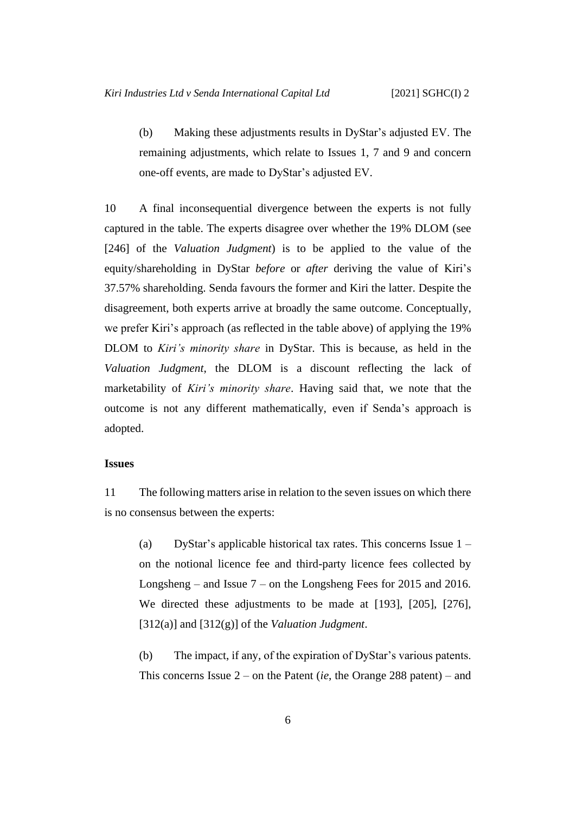(b) Making these adjustments results in DyStar's adjusted EV. The remaining adjustments, which relate to Issues 1, 7 and 9 and concern one-off events, are made to DyStar's adjusted EV.

10 A final inconsequential divergence between the experts is not fully captured in the table. The experts disagree over whether the 19% DLOM (see [246] of the *Valuation Judgment*) is to be applied to the value of the equity/shareholding in DyStar *before* or *after* deriving the value of Kiri's 37.57% shareholding. Senda favours the former and Kiri the latter. Despite the disagreement, both experts arrive at broadly the same outcome. Conceptually, we prefer Kiri's approach (as reflected in the table above) of applying the 19% DLOM to *Kiri's minority share* in DyStar. This is because, as held in the *Valuation Judgment*, the DLOM is a discount reflecting the lack of marketability of *Kiri's minority share*. Having said that, we note that the outcome is not any different mathematically, even if Senda's approach is adopted.

### <span id="page-9-0"></span>**Issues**

11 The following matters arise in relation to the seven issues on which there is no consensus between the experts:

(a) DyStar's applicable historical tax rates. This concerns Issue 1 – on the notional licence fee and third-party licence fees collected by Longsheng – and Issue 7 – on the Longsheng Fees for 2015 and 2016. We directed these adjustments to be made at [193], [205], [276], [312(a)] and [312(g)] of the *Valuation Judgment*.

(b) The impact, if any, of the expiration of DyStar's various patents. This concerns Issue 2 – on the Patent (*ie*, the Orange 288 patent) – and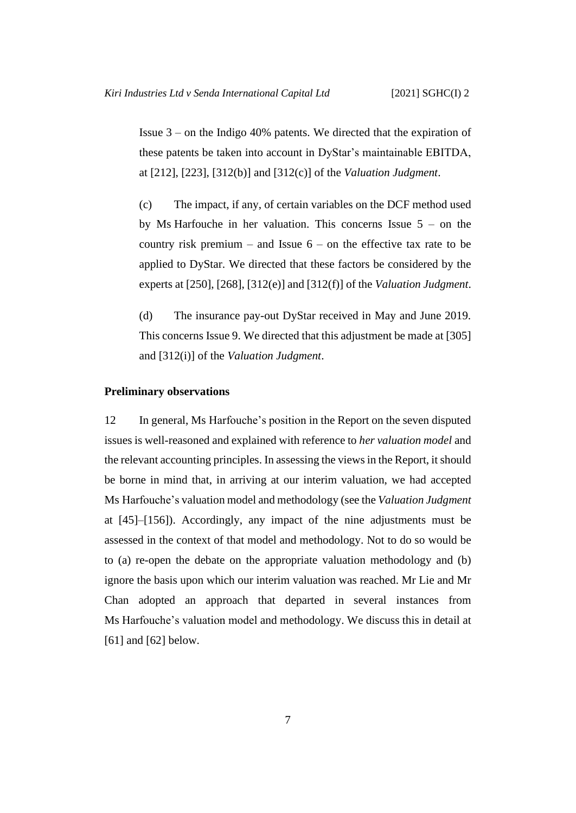Issue 3 – on the Indigo 40% patents. We directed that the expiration of these patents be taken into account in DyStar's maintainable EBITDA, at [212], [223], [312(b)] and [312(c)] of the *Valuation Judgment*.

(c) The impact, if any, of certain variables on the DCF method used by Ms Harfouche in her valuation. This concerns Issue 5 – on the country risk premium – and Issue  $6 -$  on the effective tax rate to be applied to DyStar. We directed that these factors be considered by the experts at [250], [268], [312(e)] and [312(f)] of the *Valuation Judgment*.

(d) The insurance pay-out DyStar received in May and June 2019. This concerns Issue 9. We directed that this adjustment be made at [305] and [312(i)] of the *Valuation Judgment*.

## <span id="page-10-1"></span><span id="page-10-0"></span>**Preliminary observations**

12 In general, Ms Harfouche's position in the Report on the seven disputed issues is well-reasoned and explained with reference to *her valuation model* and the relevant accounting principles. In assessing the views in the Report, it should be borne in mind that, in arriving at our interim valuation, we had accepted Ms Harfouche's valuation model and methodology (see the *Valuation Judgment* at [45]–[156]). Accordingly, any impact of the nine adjustments must be assessed in the context of that model and methodology. Not to do so would be to (a) re-open the debate on the appropriate valuation methodology and (b) ignore the basis upon which our interim valuation was reached. Mr Lie and Mr Chan adopted an approach that departed in several instances from Ms Harfouche's valuation model and methodology. We discuss this in detail at [\[61\]](#page-33-0) and [\[62\]](#page-34-0) below.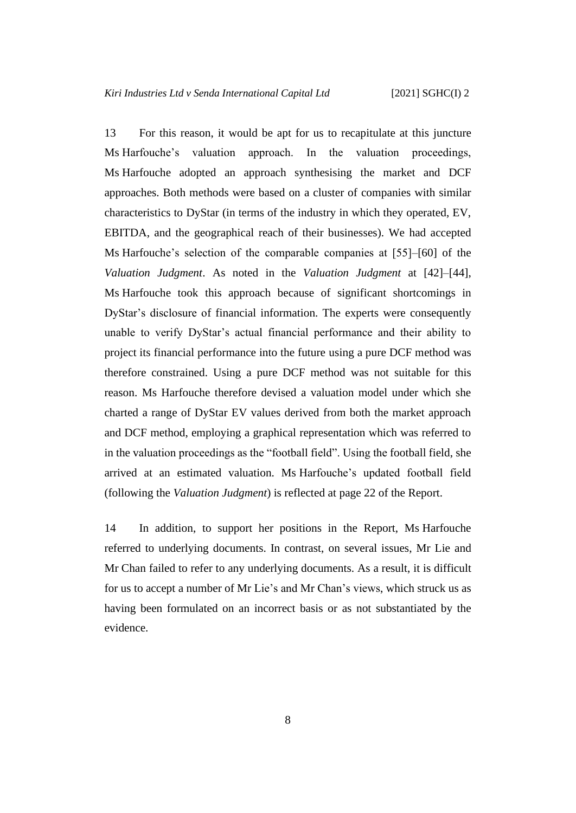<span id="page-11-1"></span>13 For this reason, it would be apt for us to recapitulate at this juncture Ms Harfouche's valuation approach. In the valuation proceedings, Ms Harfouche adopted an approach synthesising the market and DCF approaches. Both methods were based on a cluster of companies with similar characteristics to DyStar (in terms of the industry in which they operated, EV, EBITDA, and the geographical reach of their businesses). We had accepted Ms Harfouche's selection of the comparable companies at [55]–[60] of the *Valuation Judgment*. As noted in the *Valuation Judgment* at [42]–[44], Ms Harfouche took this approach because of significant shortcomings in DyStar's disclosure of financial information. The experts were consequently unable to verify DyStar's actual financial performance and their ability to project its financial performance into the future using a pure DCF method was therefore constrained. Using a pure DCF method was not suitable for this reason. Ms Harfouche therefore devised a valuation model under which she charted a range of DyStar EV values derived from both the market approach and DCF method, employing a graphical representation which was referred to in the valuation proceedings as the "football field". Using the football field, she arrived at an estimated valuation. Ms Harfouche's updated football field (following the *Valuation Judgment*) is reflected at page 22 of the Report.

<span id="page-11-0"></span>14 In addition, to support her positions in the Report, Ms Harfouche referred to underlying documents. In contrast, on several issues, Mr Lie and Mr Chan failed to refer to any underlying documents. As a result, it is difficult for us to accept a number of Mr Lie's and Mr Chan's views, which struck us as having been formulated on an incorrect basis or as not substantiated by the evidence.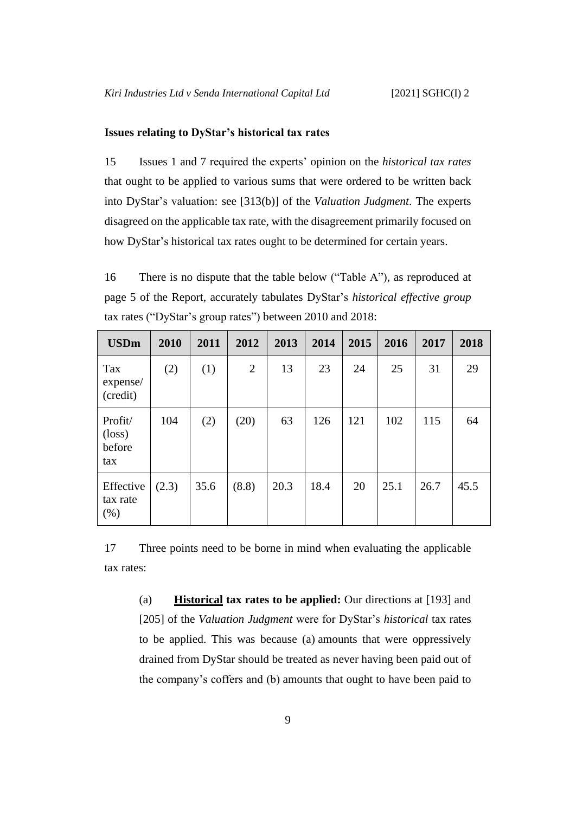# <span id="page-12-0"></span>**Issues relating to DyStar's historical tax rates**

15 Issues 1 and 7 required the experts' opinion on the *historical tax rates* that ought to be applied to various sums that were ordered to be written back into DyStar's valuation: see [313(b)] of the *Valuation Judgment*. The experts disagreed on the applicable tax rate, with the disagreement primarily focused on how DyStar's historical tax rates ought to be determined for certain years.

<span id="page-12-2"></span>16 There is no dispute that the table below ("Table A"), as reproduced at page 5 of the Report, accurately tabulates DyStar's *historical effective group* tax rates ("DyStar's group rates") between 2010 and 2018:

| <b>USDm</b>                                 | 2010  | 2011 | 2012           | 2013 | 2014 | 2015 | 2016 | 2017 | 2018 |
|---------------------------------------------|-------|------|----------------|------|------|------|------|------|------|
| Tax<br>expense/<br>(credit)                 | (2)   | (1)  | $\overline{2}$ | 13   | 23   | 24   | 25   | 31   | 29   |
| Profit/<br>$(\text{loss})$<br>before<br>tax | 104   | (2)  | (20)           | 63   | 126  | 121  | 102  | 115  | 64   |
| Effective<br>tax rate<br>(% )               | (2.3) | 35.6 | (8.8)          | 20.3 | 18.4 | 20   | 25.1 | 26.7 | 45.5 |

<span id="page-12-1"></span>17 Three points need to be borne in mind when evaluating the applicable tax rates:

<span id="page-12-3"></span>(a) **Historical tax rates to be applied:** Our directions at [193] and [205] of the *Valuation Judgment* were for DyStar's *historical* tax rates to be applied. This was because (a) amounts that were oppressively drained from DyStar should be treated as never having been paid out of the company's coffers and (b) amounts that ought to have been paid to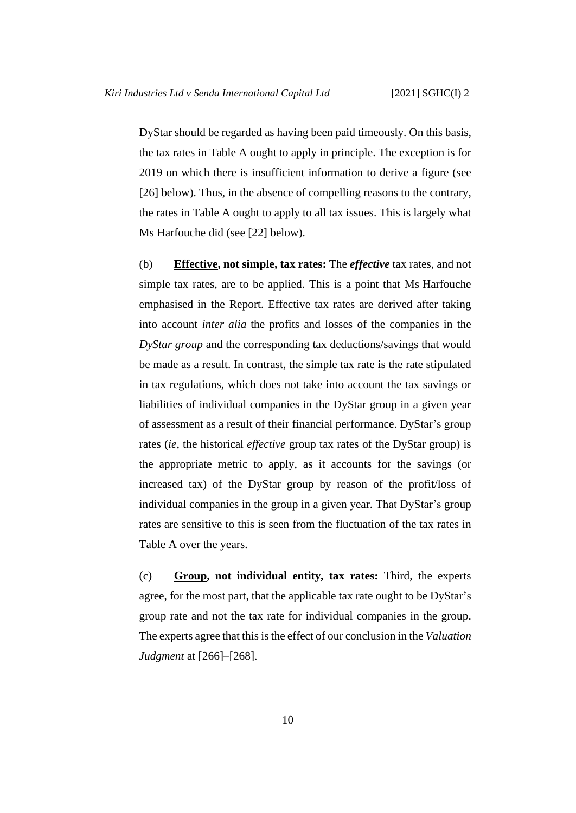DyStar should be regarded as having been paid timeously. On this basis, the tax rates in Table A ought to apply in principle. The exception is for 2019 on which there is insufficient information to derive a figure (see [\[26\]](#page-18-0) below). Thus, in the absence of compelling reasons to the contrary, the rates in Table A ought to apply to all tax issues. This is largely what Ms Harfouche did (see [\[22\]](#page-16-0) below).

<span id="page-13-0"></span>(b) **Effective, not simple, tax rates:** The *effective* tax rates, and not simple tax rates, are to be applied. This is a point that Ms Harfouche emphasised in the Report. Effective tax rates are derived after taking into account *inter alia* the profits and losses of the companies in the *DyStar group* and the corresponding tax deductions/savings that would be made as a result. In contrast, the simple tax rate is the rate stipulated in tax regulations, which does not take into account the tax savings or liabilities of individual companies in the DyStar group in a given year of assessment as a result of their financial performance. DyStar's group rates (*ie*, the historical *effective* group tax rates of the DyStar group) is the appropriate metric to apply, as it accounts for the savings (or increased tax) of the DyStar group by reason of the profit/loss of individual companies in the group in a given year. That DyStar's group rates are sensitive to this is seen from the fluctuation of the tax rates in Table A over the years.

<span id="page-13-1"></span>(c) **Group, not individual entity, tax rates:** Third, the experts agree, for the most part, that the applicable tax rate ought to be DyStar's group rate and not the tax rate for individual companies in the group. The experts agree that this is the effect of our conclusion in the *Valuation Judgment* at [266]–[268].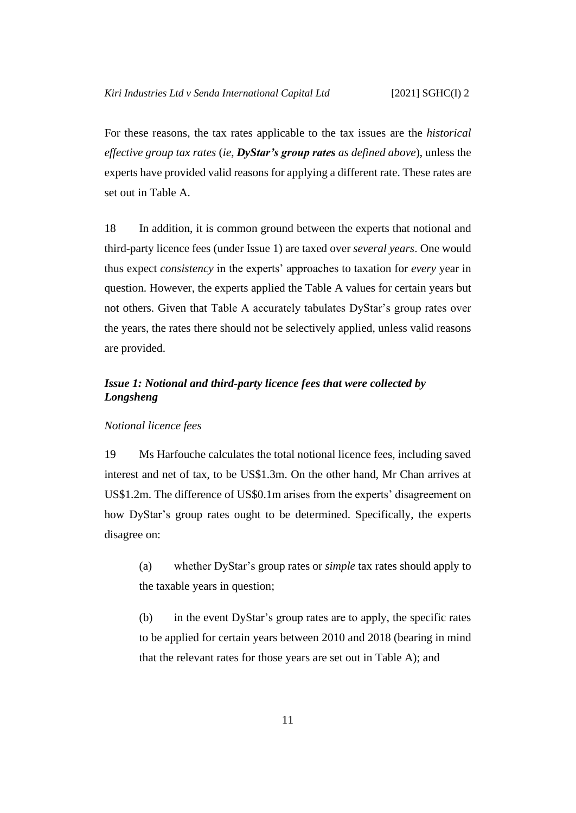For these reasons, the tax rates applicable to the tax issues are the *historical effective group tax rates* (*ie*, *DyStar's group rates as defined above*), unless the experts have provided valid reasons for applying a different rate. These rates are set out in Table A.

<span id="page-14-2"></span>18 In addition, it is common ground between the experts that notional and third-party licence fees (under Issue 1) are taxed over *several years*. One would thus expect *consistency* in the experts' approaches to taxation for *every* year in question. However, the experts applied the Table A values for certain years but not others. Given that Table A accurately tabulates DyStar's group rates over the years, the rates there should not be selectively applied, unless valid reasons are provided.

# <span id="page-14-0"></span>*Issue 1: Notional and third-party licence fees that were collected by Longsheng*

#### <span id="page-14-1"></span>*Notional licence fees*

19 Ms Harfouche calculates the total notional licence fees, including saved interest and net of tax, to be US\$1.3m. On the other hand, Mr Chan arrives at US\$1.2m. The difference of US\$0.1m arises from the experts' disagreement on how DyStar's group rates ought to be determined. Specifically, the experts disagree on:

(a) whether DyStar's group rates or *simple* tax rates should apply to the taxable years in question;

(b) in the event DyStar's group rates are to apply, the specific rates to be applied for certain years between 2010 and 2018 (bearing in mind that the relevant rates for those years are set out in Table A); and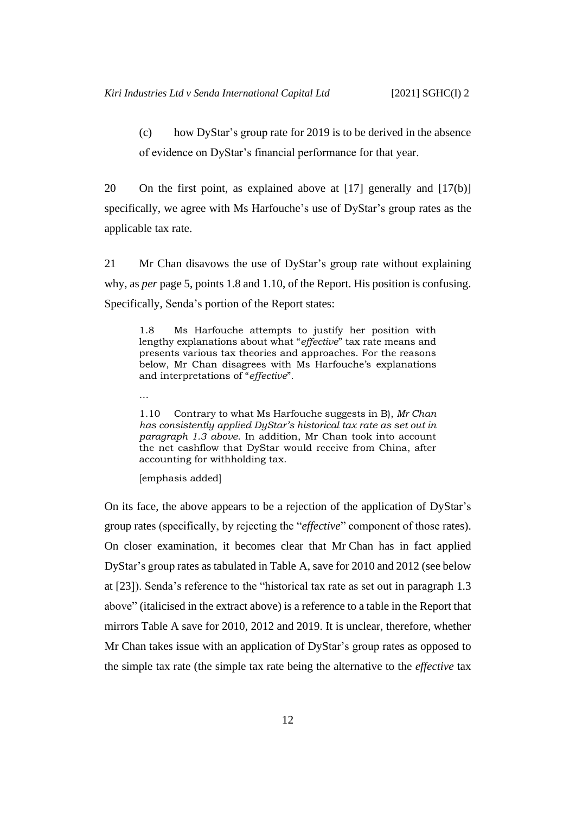(c) how DyStar's group rate for 2019 is to be derived in the absence of evidence on DyStar's financial performance for that year.

<span id="page-15-0"></span>20 On the first point, as explained above at [17] generally and [\[17\(b\)\]](#page-13-0) specifically, we agree with Ms Harfouche's use of DyStar's group rates as the applicable tax rate.

21 Mr Chan disavows the use of DyStar's group rate without explaining why, as *per* page 5, points 1.8 and 1.10, of the Report. His position is confusing. Specifically, Senda's portion of the Report states:

1.8 Ms Harfouche attempts to justify her position with lengthy explanations about what "*effective*" tax rate means and presents various tax theories and approaches. For the reasons below, Mr Chan disagrees with Ms Harfouche's explanations and interpretations of "*effective*".

…

1.10 Contrary to what Ms Harfouche suggests in B), *Mr Chan has consistently applied DyStar's historical tax rate as set out in paragraph 1.3 above*. In addition, Mr Chan took into account the net cashflow that DyStar would receive from China, after accounting for withholding tax.

[emphasis added]

On its face, the above appears to be a rejection of the application of DyStar's group rates (specifically, by rejecting the "*effective*" component of those rates). On closer examination, it becomes clear that Mr Chan has in fact applied DyStar's group rates as tabulated in Table A, save for 2010 and 2012 (see below at [\[23\]](#page-16-1)). Senda's reference to the "historical tax rate as set out in paragraph 1.3 above" (italicised in the extract above) is a reference to a table in the Report that mirrors Table A save for 2010, 2012 and 2019. It is unclear, therefore, whether Mr Chan takes issue with an application of DyStar's group rates as opposed to the simple tax rate (the simple tax rate being the alternative to the *effective* tax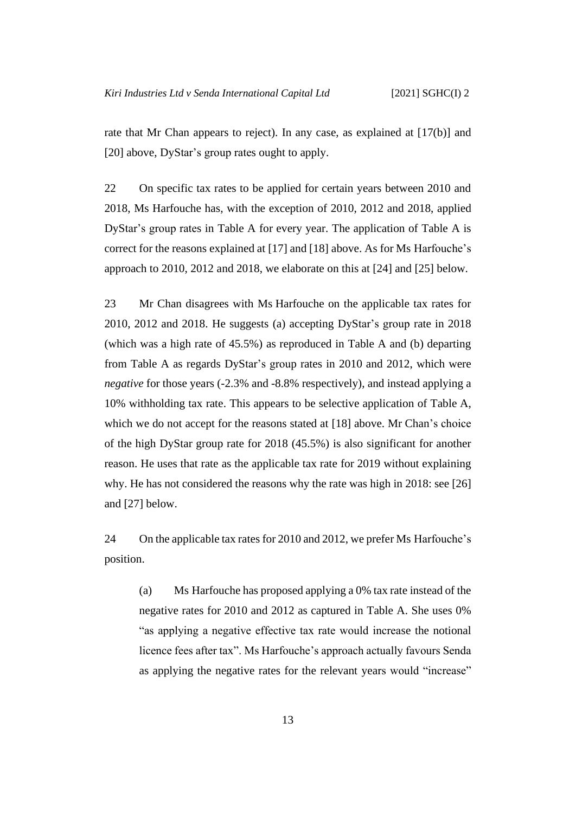rate that Mr Chan appears to reject). In any case, as explained at [\[17\(b\)\]](#page-13-0) and [\[20\]](#page-15-0) above, DyStar's group rates ought to apply.

<span id="page-16-0"></span>22 On specific tax rates to be applied for certain years between 2010 and 2018, Ms Harfouche has, with the exception of 2010, 2012 and 2018, applied DyStar's group rates in Table A for every year. The application of Table A is correct for the reasons explained at [\[17\]](#page-12-1) and [\[18\]](#page-14-2) above. As for Ms Harfouche's approach to 2010, 2012 and 2018, we elaborate on this at [\[24\]](#page-16-2) and [\[25\]](#page-17-0) below.

<span id="page-16-3"></span><span id="page-16-1"></span>23 Mr Chan disagrees with Ms Harfouche on the applicable tax rates for 2010, 2012 and 2018. He suggests (a) accepting DyStar's group rate in 2018 (which was a high rate of 45.5%) as reproduced in Table A and (b) departing from Table A as regards DyStar's group rates in 2010 and 2012, which were *negative* for those years (-2.3% and -8.8% respectively), and instead applying a 10% withholding tax rate. This appears to be selective application of Table A, which we do not accept for the reasons stated at [\[18\]](#page-14-2) above. Mr Chan's choice of the high DyStar group rate for 2018 (45.5%) is also significant for another reason. He uses that rate as the applicable tax rate for 2019 without explaining why. He has not considered the reasons why the rate was high in 2018: see [\[26\]](#page-18-0) and [\[27\]](#page-18-1) below.

<span id="page-16-2"></span>24 On the applicable tax rates for 2010 and 2012, we prefer Ms Harfouche's position.

(a) Ms Harfouche has proposed applying a 0% tax rate instead of the negative rates for 2010 and 2012 as captured in Table A. She uses 0% "as applying a negative effective tax rate would increase the notional licence fees after tax". Ms Harfouche's approach actually favours Senda as applying the negative rates for the relevant years would "increase"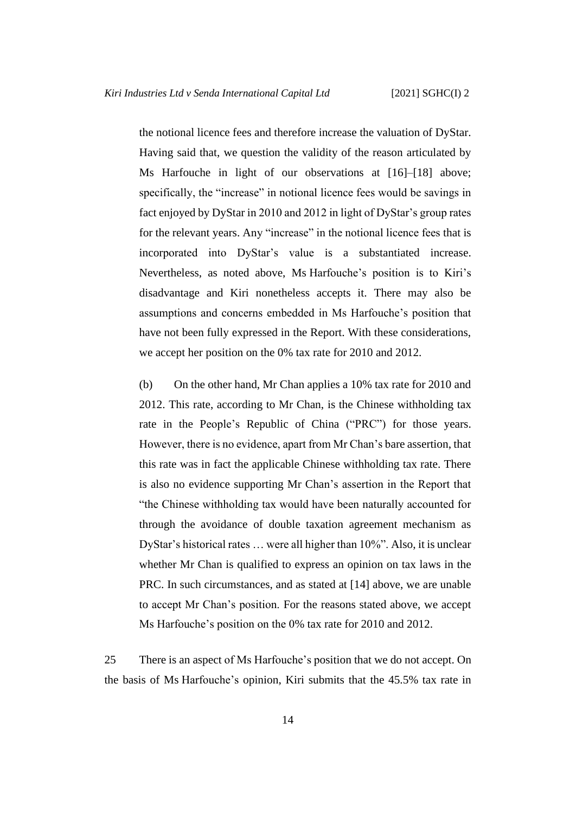the notional licence fees and therefore increase the valuation of DyStar. Having said that, we question the validity of the reason articulated by Ms Harfouche in light of our observations at [\[16\]](#page-12-2)–[\[18\]](#page-14-2) above; specifically, the "increase" in notional licence fees would be savings in fact enjoyed by DyStar in 2010 and 2012 in light of DyStar's group rates for the relevant years. Any "increase" in the notional licence fees that is incorporated into DyStar's value is a substantiated increase. Nevertheless, as noted above, Ms Harfouche's position is to Kiri's disadvantage and Kiri nonetheless accepts it. There may also be assumptions and concerns embedded in Ms Harfouche's position that have not been fully expressed in the Report. With these considerations, we accept her position on the 0% tax rate for 2010 and 2012.

(b) On the other hand, Mr Chan applies a 10% tax rate for 2010 and 2012. This rate, according to Mr Chan, is the Chinese withholding tax rate in the People's Republic of China ("PRC") for those years. However, there is no evidence, apart from Mr Chan's bare assertion, that this rate was in fact the applicable Chinese withholding tax rate. There is also no evidence supporting Mr Chan's assertion in the Report that "the Chinese withholding tax would have been naturally accounted for through the avoidance of double taxation agreement mechanism as DyStar's historical rates … were all higher than 10%". Also, it is unclear whether Mr Chan is qualified to express an opinion on tax laws in the PRC. In such circumstances, and as stated at [\[14\]](#page-11-0) above, we are unable to accept Mr Chan's position. For the reasons stated above, we accept Ms Harfouche's position on the 0% tax rate for 2010 and 2012.

<span id="page-17-0"></span>25 There is an aspect of Ms Harfouche's position that we do not accept. On the basis of Ms Harfouche's opinion, Kiri submits that the 45.5% tax rate in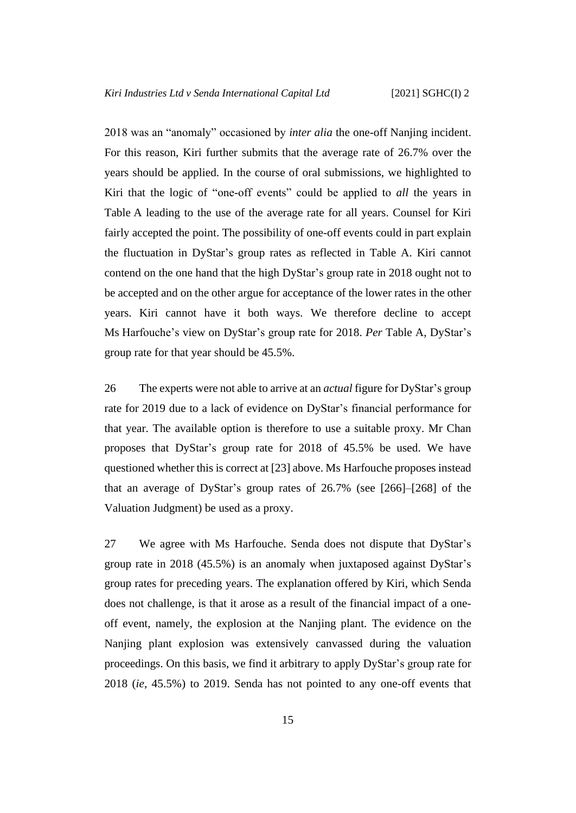2018 was an "anomaly" occasioned by *inter alia* the one-off Nanjing incident. For this reason, Kiri further submits that the average rate of 26.7% over the years should be applied. In the course of oral submissions, we highlighted to Kiri that the logic of "one-off events" could be applied to *all* the years in Table A leading to the use of the average rate for all years. Counsel for Kiri fairly accepted the point. The possibility of one-off events could in part explain the fluctuation in DyStar's group rates as reflected in Table A. Kiri cannot contend on the one hand that the high DyStar's group rate in 2018 ought not to be accepted and on the other argue for acceptance of the lower rates in the other years. Kiri cannot have it both ways. We therefore decline to accept Ms Harfouche's view on DyStar's group rate for 2018. *Per* Table A, DyStar's group rate for that year should be 45.5%.

<span id="page-18-0"></span>26 The experts were not able to arrive at an *actual* figure for DyStar's group rate for 2019 due to a lack of evidence on DyStar's financial performance for that year. The available option is therefore to use a suitable proxy. Mr Chan proposes that DyStar's group rate for 2018 of 45.5% be used. We have questioned whether this is correct at [\[23\]](#page-16-3) above. Ms Harfouche proposes instead that an average of DyStar's group rates of 26.7% (see [266]–[268] of the Valuation Judgment) be used as a proxy.

<span id="page-18-1"></span>27 We agree with Ms Harfouche. Senda does not dispute that DyStar's group rate in 2018 (45.5%) is an anomaly when juxtaposed against DyStar's group rates for preceding years. The explanation offered by Kiri, which Senda does not challenge, is that it arose as a result of the financial impact of a oneoff event, namely, the explosion at the Nanjing plant. The evidence on the Nanjing plant explosion was extensively canvassed during the valuation proceedings. On this basis, we find it arbitrary to apply DyStar's group rate for 2018 (*ie*, 45.5%) to 2019. Senda has not pointed to any one-off events that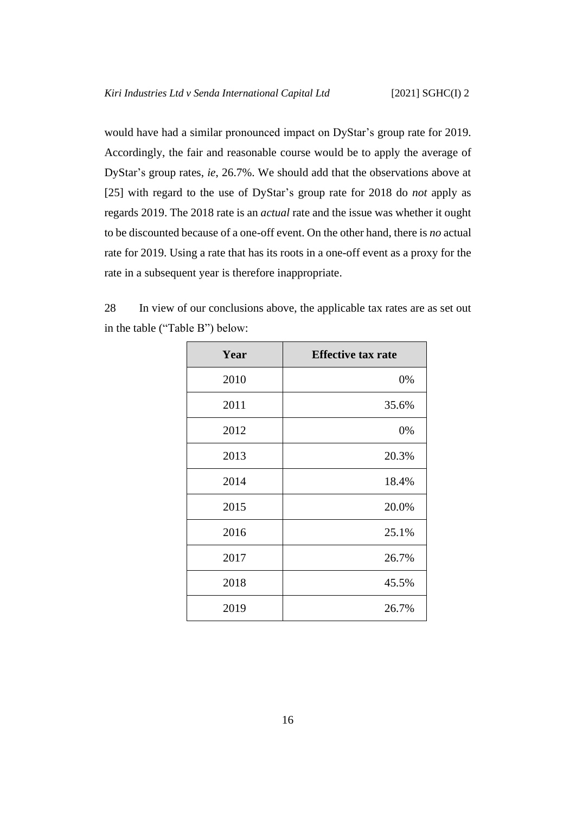would have had a similar pronounced impact on DyStar's group rate for 2019. Accordingly, the fair and reasonable course would be to apply the average of DyStar's group rates, *ie*, 26.7%. We should add that the observations above at [\[25\]](#page-17-0) with regard to the use of DyStar's group rate for 2018 do *not* apply as regards 2019. The 2018 rate is an *actual* rate and the issue was whether it ought to be discounted because of a one-off event. On the other hand, there is *no* actual rate for 2019. Using a rate that has its roots in a one-off event as a proxy for the rate in a subsequent year is therefore inappropriate.

<span id="page-19-0"></span>

| 28 | In view of our conclusions above, the applicable tax rates are as set out |  |  |  |  |
|----|---------------------------------------------------------------------------|--|--|--|--|
|    | in the table ("Table B") below:                                           |  |  |  |  |

| Year | <b>Effective tax rate</b> |
|------|---------------------------|
| 2010 | 0%                        |
| 2011 | 35.6%                     |
| 2012 | 0%                        |
| 2013 | 20.3%                     |
| 2014 | 18.4%                     |
| 2015 | 20.0%                     |
| 2016 | 25.1%                     |
| 2017 | 26.7%                     |
| 2018 | 45.5%                     |
| 2019 | 26.7%                     |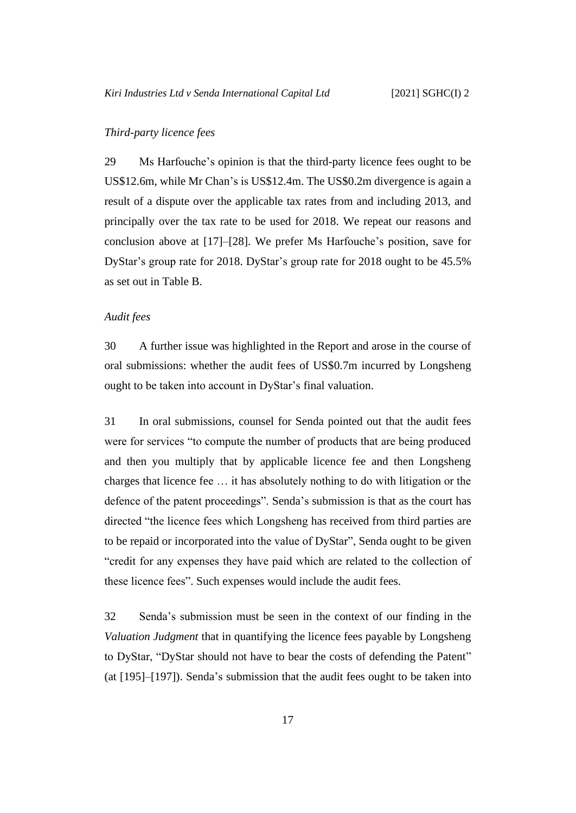# <span id="page-20-0"></span>*Third-party licence fees*

29 Ms Harfouche's opinion is that the third-party licence fees ought to be US\$12.6m, while Mr Chan's is US\$12.4m. The US\$0.2m divergence is again a result of a dispute over the applicable tax rates from and including 2013, and principally over the tax rate to be used for 2018. We repeat our reasons and conclusion above at [\[17\]](#page-12-1)–[\[28\]](#page-19-0). We prefer Ms Harfouche's position, save for DyStar's group rate for 2018. DyStar's group rate for 2018 ought to be 45.5% as set out in Table B.

#### <span id="page-20-1"></span>*Audit fees*

30 A further issue was highlighted in the Report and arose in the course of oral submissions: whether the audit fees of US\$0.7m incurred by Longsheng ought to be taken into account in DyStar's final valuation.

31 In oral submissions, counsel for Senda pointed out that the audit fees were for services "to compute the number of products that are being produced and then you multiply that by applicable licence fee and then Longsheng charges that licence fee … it has absolutely nothing to do with litigation or the defence of the patent proceedings". Senda's submission is that as the court has directed "the licence fees which Longsheng has received from third parties are to be repaid or incorporated into the value of DyStar", Senda ought to be given "credit for any expenses they have paid which are related to the collection of these licence fees". Such expenses would include the audit fees.

32 Senda's submission must be seen in the context of our finding in the *Valuation Judgment* that in quantifying the licence fees payable by Longsheng to DyStar, "DyStar should not have to bear the costs of defending the Patent" (at [195]–[197]). Senda's submission that the audit fees ought to be taken into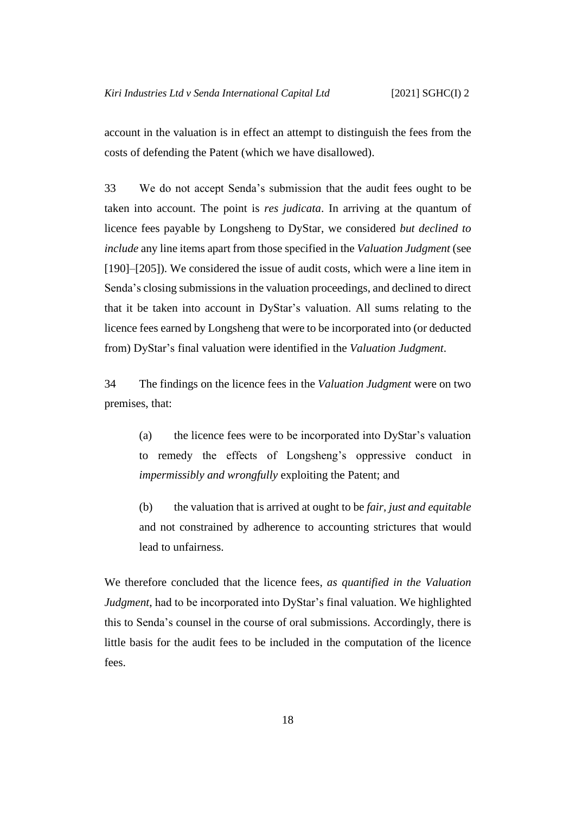account in the valuation is in effect an attempt to distinguish the fees from the costs of defending the Patent (which we have disallowed).

33 We do not accept Senda's submission that the audit fees ought to be taken into account. The point is *res judicata*. In arriving at the quantum of licence fees payable by Longsheng to DyStar, we considered *but declined to include* any line items apart from those specified in the *Valuation Judgment* (see [190]–[205]). We considered the issue of audit costs, which were a line item in Senda's closing submissions in the valuation proceedings, and declined to direct that it be taken into account in DyStar's valuation. All sums relating to the licence fees earned by Longsheng that were to be incorporated into (or deducted from) DyStar's final valuation were identified in the *Valuation Judgment*.

34 The findings on the licence fees in the *Valuation Judgment* were on two premises, that:

(a) the licence fees were to be incorporated into DyStar's valuation to remedy the effects of Longsheng's oppressive conduct in *impermissibly and wrongfully* exploiting the Patent; and

(b) the valuation that is arrived at ought to be *fair, just and equitable* and not constrained by adherence to accounting strictures that would lead to unfairness.

We therefore concluded that the licence fees, *as quantified in the Valuation Judgment*, had to be incorporated into DyStar's final valuation. We highlighted this to Senda's counsel in the course of oral submissions. Accordingly, there is little basis for the audit fees to be included in the computation of the licence fees.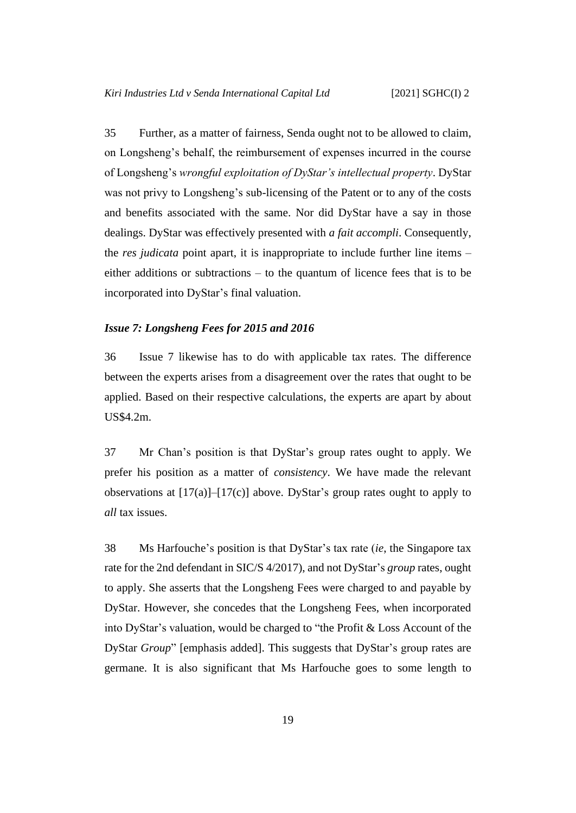35 Further, as a matter of fairness, Senda ought not to be allowed to claim, on Longsheng's behalf, the reimbursement of expenses incurred in the course of Longsheng's *wrongful exploitation of DyStar's intellectual property*. DyStar was not privy to Longsheng's sub-licensing of the Patent or to any of the costs and benefits associated with the same. Nor did DyStar have a say in those dealings. DyStar was effectively presented with *a fait accompli*. Consequently, the *res judicata* point apart, it is inappropriate to include further line items – either additions or subtractions – to the quantum of licence fees that is to be incorporated into DyStar's final valuation.

### <span id="page-22-1"></span><span id="page-22-0"></span>*Issue 7: Longsheng Fees for 2015 and 2016*

36 Issue 7 likewise has to do with applicable tax rates. The difference between the experts arises from a disagreement over the rates that ought to be applied. Based on their respective calculations, the experts are apart by about US\$4.2m.

37 Mr Chan's position is that DyStar's group rates ought to apply. We prefer his position as a matter of *consistency*. We have made the relevant observations at  $[17(a)]-[17(c)]$  $[17(a)]-[17(c)]$  $[17(a)]-[17(c)]$  above. DyStar's group rates ought to apply to *all* tax issues.

38 Ms Harfouche's position is that DyStar's tax rate (*ie*, the Singapore tax rate for the 2nd defendant in SIC/S 4/2017), and not DyStar's *group* rates, ought to apply. She asserts that the Longsheng Fees were charged to and payable by DyStar. However, she concedes that the Longsheng Fees, when incorporated into DyStar's valuation, would be charged to "the Profit & Loss Account of the DyStar *Group*" [emphasis added]. This suggests that DyStar's group rates are germane. It is also significant that Ms Harfouche goes to some length to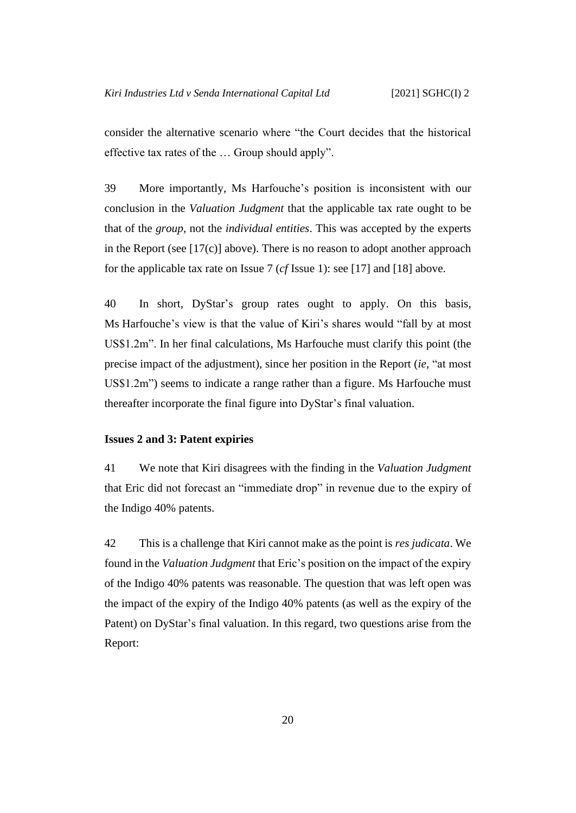consider the alternative scenario where "the Court decides that the historical effective tax rates of the … Group should apply".

39 More importantly, Ms Harfouche's position is inconsistent with our conclusion in the *Valuation Judgment* that the applicable tax rate ought to be that of the *group*, not the *individual entities*. This was accepted by the experts in the Report (see  $[17(c)]$  above). There is no reason to adopt another approach for the applicable tax rate on Issue 7 (*cf* Issue 1): see [\[17\]](#page-12-1) and [\[18\]](#page-14-2) above.

<span id="page-23-1"></span>40 In short, DyStar's group rates ought to apply. On this basis, Ms Harfouche's view is that the value of Kiri's shares would "fall by at most US\$1.2m". In her final calculations, Ms Harfouche must clarify this point (the precise impact of the adjustment), since her position in the Report (*ie*, "at most US\$1.2m") seems to indicate a range rather than a figure. Ms Harfouche must thereafter incorporate the final figure into DyStar's final valuation.

### <span id="page-23-0"></span>**Issues 2 and 3: Patent expiries**

41 We note that Kiri disagrees with the finding in the *Valuation Judgment*  that Eric did not forecast an "immediate drop" in revenue due to the expiry of the Indigo 40% patents.

42 This is a challenge that Kiri cannot make as the point is *res judicata*. We found in the *Valuation Judgment* that Eric's position on the impact of the expiry of the Indigo 40% patents was reasonable. The question that was left open was the impact of the expiry of the Indigo 40% patents (as well as the expiry of the Patent) on DyStar's final valuation. In this regard, two questions arise from the Report: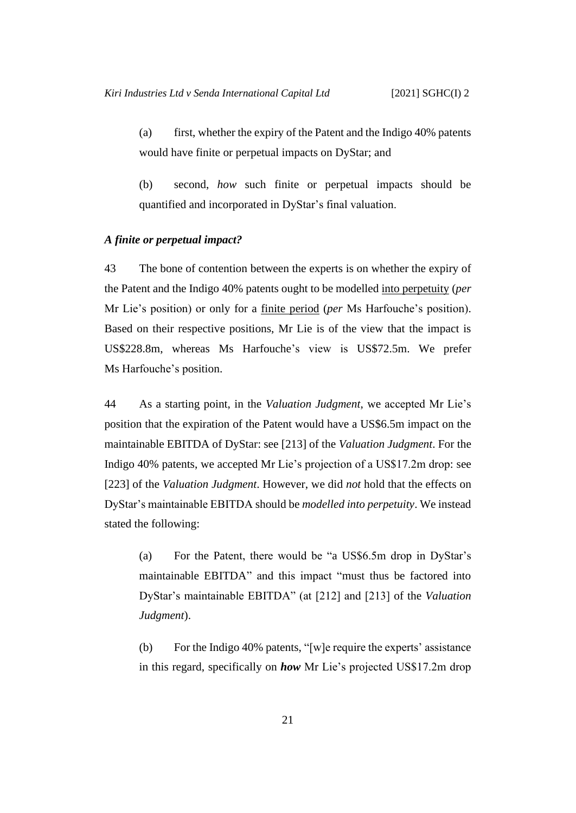(a) first, whether the expiry of the Patent and the Indigo 40% patents would have finite or perpetual impacts on DyStar; and

(b) second, *how* such finite or perpetual impacts should be quantified and incorporated in DyStar's final valuation.

# <span id="page-24-0"></span>*A finite or perpetual impact?*

43 The bone of contention between the experts is on whether the expiry of the Patent and the Indigo 40% patents ought to be modelled into perpetuity (*per*  Mr Lie's position) or only for a finite period (*per* Ms Harfouche's position). Based on their respective positions, Mr Lie is of the view that the impact is US\$228.8m, whereas Ms Harfouche's view is US\$72.5m. We prefer Ms Harfouche's position.

44 As a starting point, in the *Valuation Judgment*, we accepted Mr Lie's position that the expiration of the Patent would have a US\$6.5m impact on the maintainable EBITDA of DyStar: see [213] of the *Valuation Judgment*. For the Indigo 40% patents, we accepted Mr Lie's projection of a US\$17.2m drop: see [223] of the *Valuation Judgment*. However, we did *not* hold that the effects on DyStar's maintainable EBITDA should be *modelled into perpetuity*. We instead stated the following:

(a) For the Patent, there would be "a US\$6.5m drop in DyStar's maintainable EBITDA" and this impact "must thus be factored into DyStar's maintainable EBITDA" (at [212] and [213] of the *Valuation Judgment*).

(b) For the Indigo 40% patents, "[w]e require the experts' assistance in this regard, specifically on *how* Mr Lie's projected US\$17.2m drop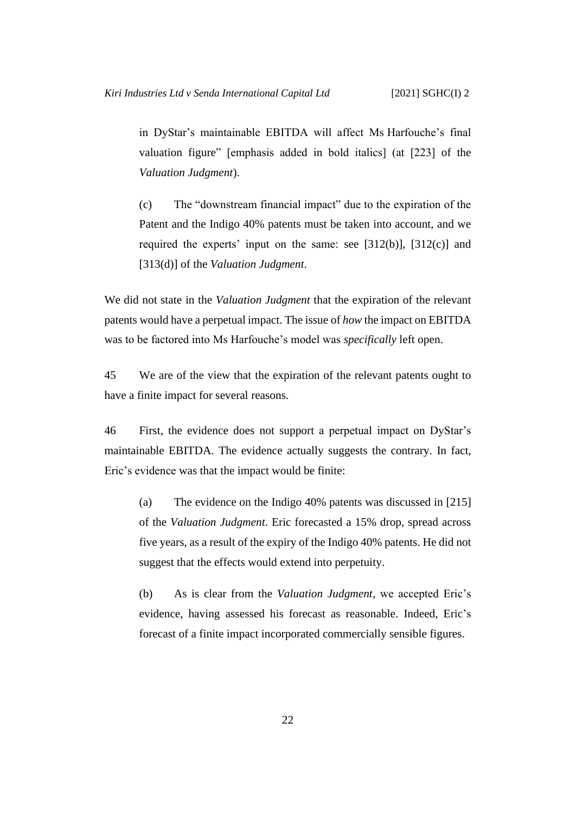in DyStar's maintainable EBITDA will affect Ms Harfouche's final valuation figure" [emphasis added in bold italics] (at [223] of the *Valuation Judgment*).

(c) The "downstream financial impact" due to the expiration of the Patent and the Indigo 40% patents must be taken into account, and we required the experts' input on the same: see [312(b)], [312(c)] and [313(d)] of the *Valuation Judgment*.

We did not state in the *Valuation Judgment* that the expiration of the relevant patents would have a perpetual impact. The issue of *how* the impact on EBITDA was to be factored into Ms Harfouche's model was *specifically* left open.

45 We are of the view that the expiration of the relevant patents ought to have a finite impact for several reasons.

46 First, the evidence does not support a perpetual impact on DyStar's maintainable EBITDA. The evidence actually suggests the contrary. In fact, Eric's evidence was that the impact would be finite:

<span id="page-25-0"></span>(a) The evidence on the Indigo 40% patents was discussed in [215] of the *Valuation Judgment*. Eric forecasted a 15% drop, spread across five years, as a result of the expiry of the Indigo 40% patents. He did not suggest that the effects would extend into perpetuity.

<span id="page-25-1"></span>(b) As is clear from the *Valuation Judgment*, we accepted Eric's evidence, having assessed his forecast as reasonable. Indeed, Eric's forecast of a finite impact incorporated commercially sensible figures.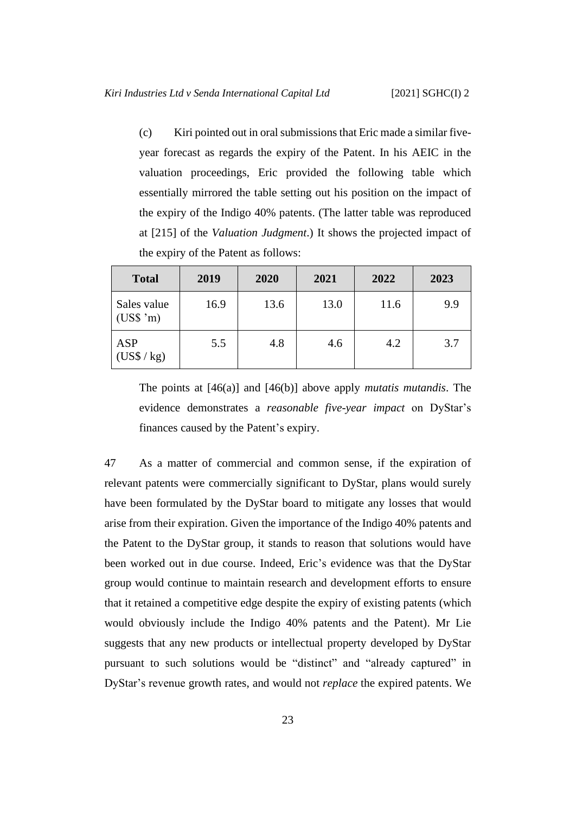(c) Kiri pointed out in oral submissionsthat Eric made a similar fiveyear forecast as regards the expiry of the Patent. In his AEIC in the valuation proceedings, Eric provided the following table which essentially mirrored the table setting out his position on the impact of the expiry of the Indigo 40% patents. (The latter table was reproduced at [215] of the *Valuation Judgment*.) It shows the projected impact of the expiry of the Patent as follows:

| <b>Total</b>                         | 2019 | 2020 | 2021 | 2022 | 2023 |
|--------------------------------------|------|------|------|------|------|
| Sales value<br>$(US\$ {S}^{\prime}m) | 16.9 | 13.6 | 13.0 | 11.6 | 9.9  |
| <b>ASP</b><br>(US\$ / kg)            | 5.5  | 4.8  | 4.6  | 4.2  | 3.7  |

The points at [\[46\(a\)\]](#page-25-0) and [\[46\(b\)\]](#page-25-1) above apply *mutatis mutandis*. The evidence demonstrates a *reasonable five-year impact* on DyStar's finances caused by the Patent's expiry.

47 As a matter of commercial and common sense, if the expiration of relevant patents were commercially significant to DyStar, plans would surely have been formulated by the DyStar board to mitigate any losses that would arise from their expiration. Given the importance of the Indigo 40% patents and the Patent to the DyStar group, it stands to reason that solutions would have been worked out in due course. Indeed, Eric's evidence was that the DyStar group would continue to maintain research and development efforts to ensure that it retained a competitive edge despite the expiry of existing patents (which would obviously include the Indigo 40% patents and the Patent). Mr Lie suggests that any new products or intellectual property developed by DyStar pursuant to such solutions would be "distinct" and "already captured" in DyStar's revenue growth rates, and would not *replace* the expired patents. We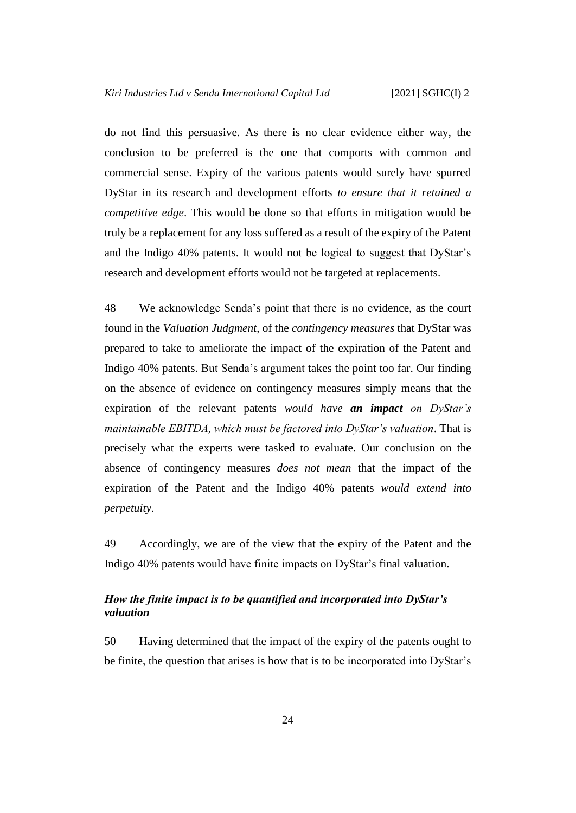do not find this persuasive. As there is no clear evidence either way, the conclusion to be preferred is the one that comports with common and commercial sense. Expiry of the various patents would surely have spurred DyStar in its research and development efforts *to ensure that it retained a competitive edge*. This would be done so that efforts in mitigation would be truly be a replacement for any loss suffered as a result of the expiry of the Patent and the Indigo 40% patents. It would not be logical to suggest that DyStar's research and development efforts would not be targeted at replacements.

48 We acknowledge Senda's point that there is no evidence, as the court found in the *Valuation Judgment*, of the *contingency measures* that DyStar was prepared to take to ameliorate the impact of the expiration of the Patent and Indigo 40% patents. But Senda's argument takes the point too far. Our finding on the absence of evidence on contingency measures simply means that the expiration of the relevant patents *would have an impact on DyStar's maintainable EBITDA, which must be factored into DyStar's valuation*. That is precisely what the experts were tasked to evaluate. Our conclusion on the absence of contingency measures *does not mean* that the impact of the expiration of the Patent and the Indigo 40% patents *would extend into perpetuity*.

49 Accordingly, we are of the view that the expiry of the Patent and the Indigo 40% patents would have finite impacts on DyStar's final valuation.

# <span id="page-27-0"></span>*How the finite impact is to be quantified and incorporated into DyStar's valuation*

50 Having determined that the impact of the expiry of the patents ought to be finite, the question that arises is how that is to be incorporated into DyStar's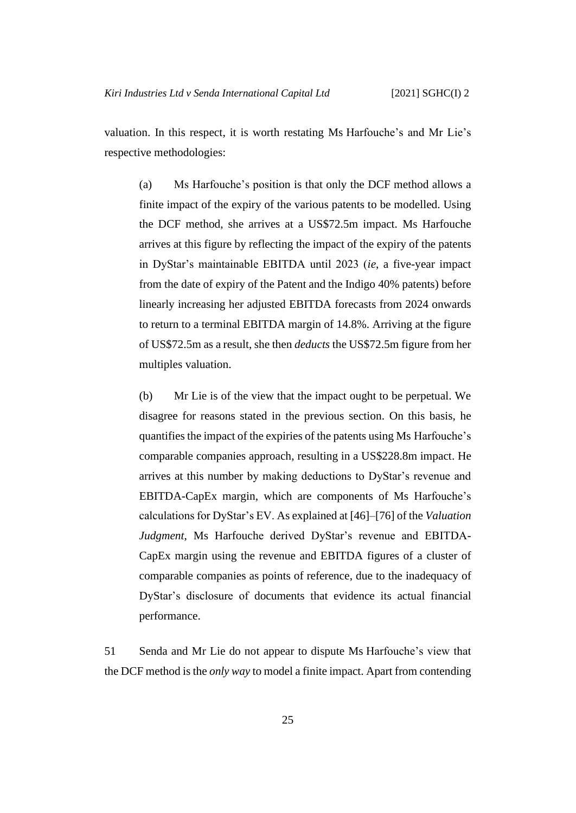valuation. In this respect, it is worth restating Ms Harfouche's and Mr Lie's respective methodologies:

(a) Ms Harfouche's position is that only the DCF method allows a finite impact of the expiry of the various patents to be modelled. Using the DCF method, she arrives at a US\$72.5m impact. Ms Harfouche arrives at this figure by reflecting the impact of the expiry of the patents in DyStar's maintainable EBITDA until 2023 (*ie*, a five-year impact from the date of expiry of the Patent and the Indigo 40% patents) before linearly increasing her adjusted EBITDA forecasts from 2024 onwards to return to a terminal EBITDA margin of 14.8%. Arriving at the figure of US\$72.5m as a result, she then *deducts* the US\$72.5m figure from her multiples valuation.

(b) Mr Lie is of the view that the impact ought to be perpetual. We disagree for reasons stated in the previous section. On this basis, he quantifies the impact of the expiries of the patents using Ms Harfouche's comparable companies approach, resulting in a US\$228.8m impact. He arrives at this number by making deductions to DyStar's revenue and EBITDA-CapEx margin, which are components of Ms Harfouche's calculations for DyStar's EV. As explained at [46]–[76] of the *Valuation Judgment*, Ms Harfouche derived DyStar's revenue and EBITDA-CapEx margin using the revenue and EBITDA figures of a cluster of comparable companies as points of reference, due to the inadequacy of DyStar's disclosure of documents that evidence its actual financial performance.

51 Senda and Mr Lie do not appear to dispute Ms Harfouche's view that the DCF method is the *only way* to model a finite impact. Apart from contending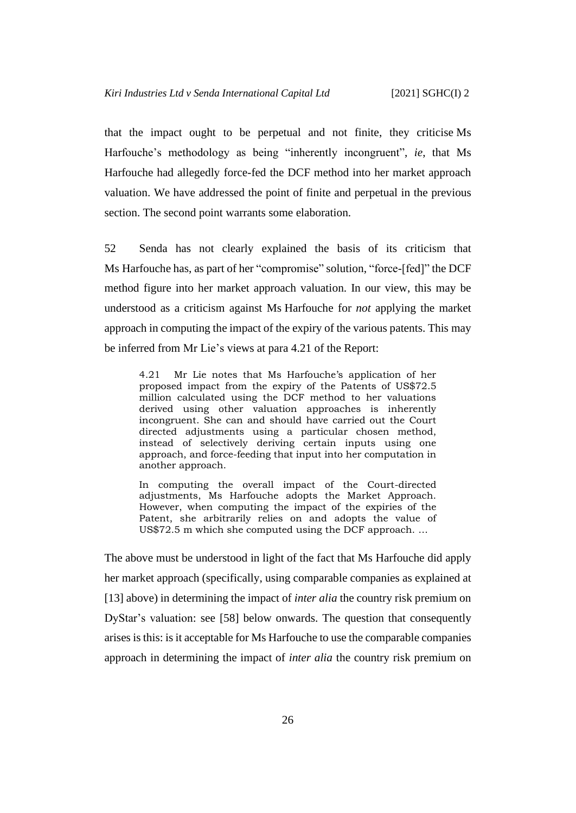that the impact ought to be perpetual and not finite, they criticise Ms Harfouche's methodology as being "inherently incongruent", *ie*, that Ms Harfouche had allegedly force-fed the DCF method into her market approach valuation. We have addressed the point of finite and perpetual in the previous section. The second point warrants some elaboration.

52 Senda has not clearly explained the basis of its criticism that Ms Harfouche has, as part of her "compromise" solution, "force-[fed]" the DCF method figure into her market approach valuation. In our view, this may be understood as a criticism against Ms Harfouche for *not* applying the market approach in computing the impact of the expiry of the various patents. This may be inferred from Mr Lie's views at para 4.21 of the Report:

4.21 Mr Lie notes that Ms Harfouche's application of her proposed impact from the expiry of the Patents of US\$72.5 million calculated using the DCF method to her valuations derived using other valuation approaches is inherently incongruent. She can and should have carried out the Court directed adjustments using a particular chosen method, instead of selectively deriving certain inputs using one approach, and force-feeding that input into her computation in another approach.

In computing the overall impact of the Court-directed adjustments, Ms Harfouche adopts the Market Approach. However, when computing the impact of the expiries of the Patent, she arbitrarily relies on and adopts the value of US\$72.5 m which she computed using the DCF approach. …

The above must be understood in light of the fact that Ms Harfouche did apply her market approach (specifically, using comparable companies as explained at [\[13\]](#page-11-1) above) in determining the impact of *inter alia* the country risk premium on DyStar's valuation: see [\[58\]](#page-32-1) below onwards. The question that consequently arises is this: is it acceptable for Ms Harfouche to use the comparable companies approach in determining the impact of *inter alia* the country risk premium on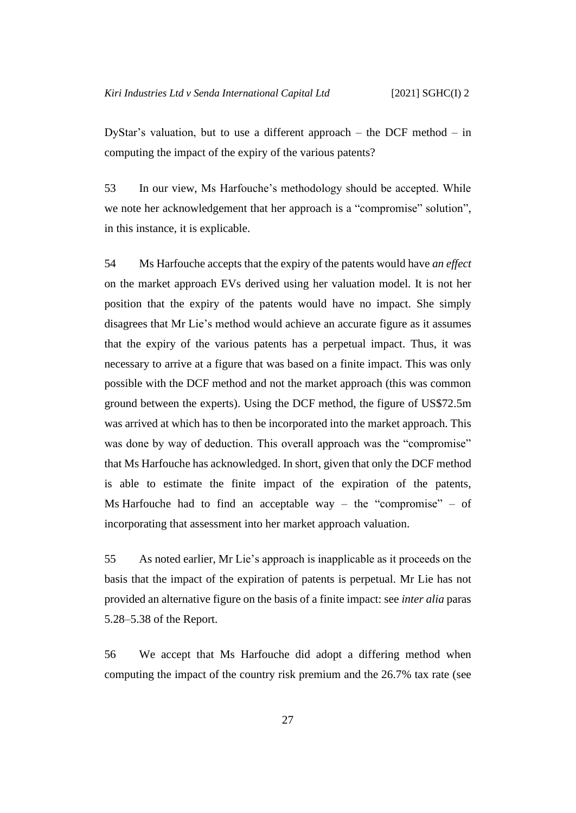DyStar's valuation, but to use a different approach – the DCF method – in computing the impact of the expiry of the various patents?

53 In our view, Ms Harfouche's methodology should be accepted. While we note her acknowledgement that her approach is a "compromise" solution", in this instance, it is explicable.

54 Ms Harfouche accepts that the expiry of the patents would have *an effect* on the market approach EVs derived using her valuation model. It is not her position that the expiry of the patents would have no impact. She simply disagrees that Mr Lie's method would achieve an accurate figure as it assumes that the expiry of the various patents has a perpetual impact. Thus, it was necessary to arrive at a figure that was based on a finite impact. This was only possible with the DCF method and not the market approach (this was common ground between the experts). Using the DCF method, the figure of US\$72.5m was arrived at which has to then be incorporated into the market approach. This was done by way of deduction. This overall approach was the "compromise" that Ms Harfouche has acknowledged. In short, given that only the DCF method is able to estimate the finite impact of the expiration of the patents, Ms Harfouche had to find an acceptable way – the "compromise" – of incorporating that assessment into her market approach valuation.

55 As noted earlier, Mr Lie's approach is inapplicable as it proceeds on the basis that the impact of the expiration of patents is perpetual. Mr Lie has not provided an alternative figure on the basis of a finite impact: see *inter alia* paras 5.28–5.38 of the Report.

56 We accept that Ms Harfouche did adopt a differing method when computing the impact of the country risk premium and the 26.7% tax rate (see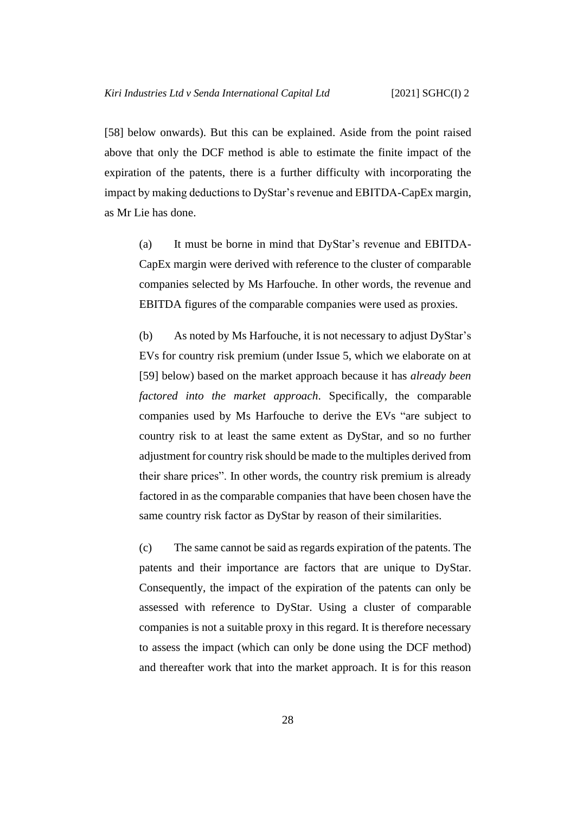[\[58\]](#page-32-1) below onwards). But this can be explained. Aside from the point raised above that only the DCF method is able to estimate the finite impact of the expiration of the patents, there is a further difficulty with incorporating the impact by making deductions to DyStar's revenue and EBITDA-CapEx margin, as Mr Lie has done.

(a) It must be borne in mind that DyStar's revenue and EBITDA-CapEx margin were derived with reference to the cluster of comparable companies selected by Ms Harfouche. In other words, the revenue and EBITDA figures of the comparable companies were used as proxies.

<span id="page-31-0"></span>(b) As noted by Ms Harfouche, it is not necessary to adjust DyStar's EVs for country risk premium (under Issue 5, which we elaborate on at [\[59\]](#page-32-2) below) based on the market approach because it has *already been factored into the market approach*. Specifically, the comparable companies used by Ms Harfouche to derive the EVs "are subject to country risk to at least the same extent as DyStar, and so no further adjustment for country risk should be made to the multiples derived from their share prices". In other words, the country risk premium is already factored in as the comparable companies that have been chosen have the same country risk factor as DyStar by reason of their similarities.

(c) The same cannot be said as regards expiration of the patents. The patents and their importance are factors that are unique to DyStar. Consequently, the impact of the expiration of the patents can only be assessed with reference to DyStar. Using a cluster of comparable companies is not a suitable proxy in this regard. It is therefore necessary to assess the impact (which can only be done using the DCF method) and thereafter work that into the market approach. It is for this reason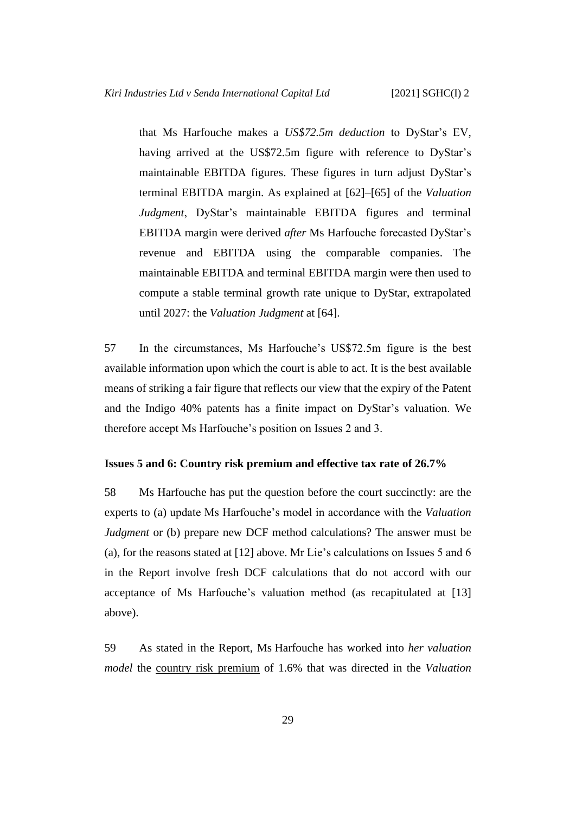that Ms Harfouche makes a *US\$72.5m deduction* to DyStar's EV, having arrived at the US\$72.5m figure with reference to DyStar's maintainable EBITDA figures. These figures in turn adjust DyStar's terminal EBITDA margin. As explained at [62]–[65] of the *Valuation Judgment*, DyStar's maintainable EBITDA figures and terminal EBITDA margin were derived *after* Ms Harfouche forecasted DyStar's revenue and EBITDA using the comparable companies. The maintainable EBITDA and terminal EBITDA margin were then used to compute a stable terminal growth rate unique to DyStar, extrapolated until 2027: the *Valuation Judgment* at [64].

57 In the circumstances, Ms Harfouche's US\$72.5m figure is the best available information upon which the court is able to act. It is the best available means of striking a fair figure that reflects our view that the expiry of the Patent and the Indigo 40% patents has a finite impact on DyStar's valuation. We therefore accept Ms Harfouche's position on Issues 2 and 3.

# <span id="page-32-1"></span><span id="page-32-0"></span>**Issues 5 and 6: Country risk premium and effective tax rate of 26.7%**

58 Ms Harfouche has put the question before the court succinctly: are the experts to (a) update Ms Harfouche's model in accordance with the *Valuation Judgment* or (b) prepare new DCF method calculations? The answer must be (a), for the reasons stated at [\[12\]](#page-10-1) above. Mr Lie's calculations on Issues 5 and 6 in the Report involve fresh DCF calculations that do not accord with our acceptance of Ms Harfouche's valuation method (as recapitulated at [\[13\]](#page-11-1) above).

<span id="page-32-2"></span>59 As stated in the Report, Ms Harfouche has worked into *her valuation model* the country risk premium of 1.6% that was directed in the *Valuation*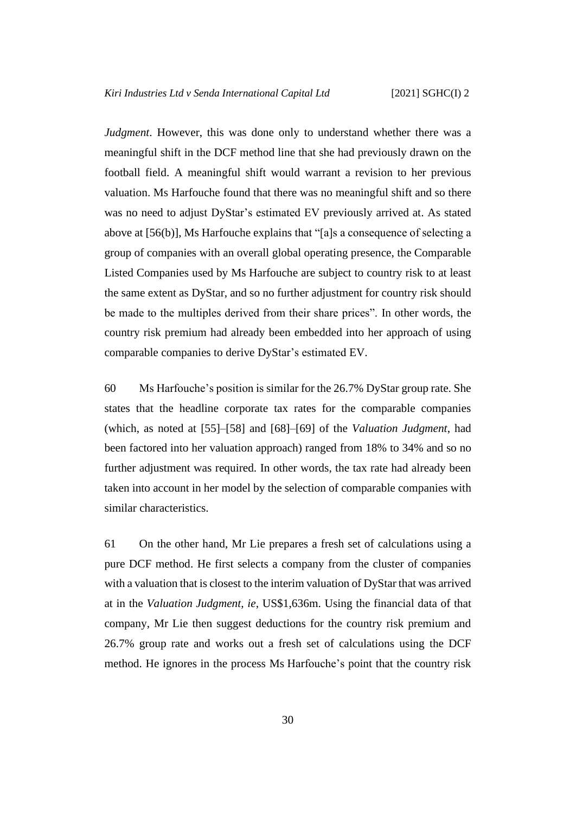*Judgment*. However, this was done only to understand whether there was a meaningful shift in the DCF method line that she had previously drawn on the football field. A meaningful shift would warrant a revision to her previous valuation. Ms Harfouche found that there was no meaningful shift and so there was no need to adjust DyStar's estimated EV previously arrived at. As stated above at [\[56\(b\)\]](#page-31-0), Ms Harfouche explains that "[a]s a consequence of selecting a group of companies with an overall global operating presence, the Comparable Listed Companies used by Ms Harfouche are subject to country risk to at least the same extent as DyStar, and so no further adjustment for country risk should be made to the multiples derived from their share prices". In other words, the country risk premium had already been embedded into her approach of using comparable companies to derive DyStar's estimated EV.

60 Ms Harfouche's position is similar for the 26.7% DyStar group rate. She states that the headline corporate tax rates for the comparable companies (which, as noted at [55]–[58] and [68]–[69] of the *Valuation Judgment*, had been factored into her valuation approach) ranged from 18% to 34% and so no further adjustment was required. In other words, the tax rate had already been taken into account in her model by the selection of comparable companies with similar characteristics.

<span id="page-33-0"></span>61 On the other hand, Mr Lie prepares a fresh set of calculations using a pure DCF method. He first selects a company from the cluster of companies with a valuation that is closest to the interim valuation of DyStar that was arrived at in the *Valuation Judgment*, *ie*, US\$1,636m. Using the financial data of that company, Mr Lie then suggest deductions for the country risk premium and 26.7% group rate and works out a fresh set of calculations using the DCF method. He ignores in the process Ms Harfouche's point that the country risk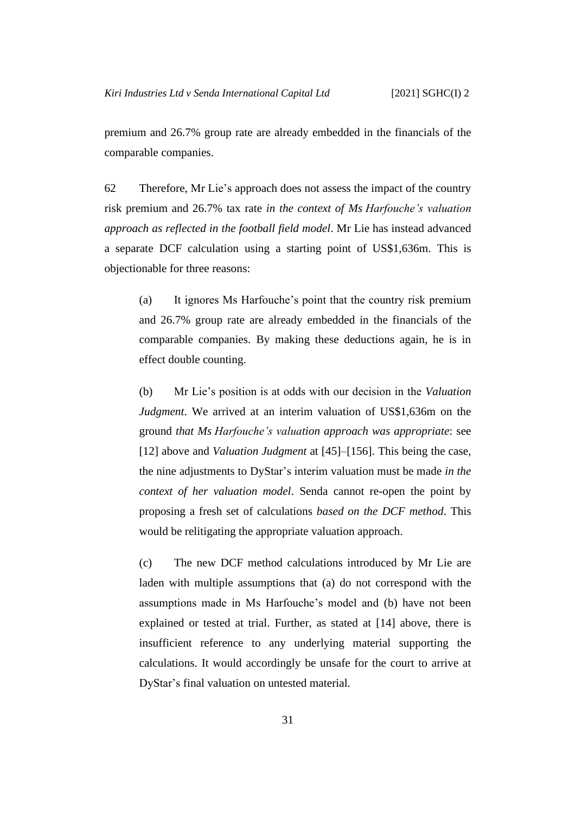premium and 26.7% group rate are already embedded in the financials of the comparable companies.

<span id="page-34-0"></span>62 Therefore, Mr Lie's approach does not assess the impact of the country risk premium and 26.7% tax rate *in the context of Ms Harfouche's valuation approach as reflected in the football field model*. Mr Lie has instead advanced a separate DCF calculation using a starting point of US\$1,636m. This is objectionable for three reasons:

(a) It ignores Ms Harfouche's point that the country risk premium and 26.7% group rate are already embedded in the financials of the comparable companies. By making these deductions again, he is in effect double counting.

(b) Mr Lie's position is at odds with our decision in the *Valuation Judgment*. We arrived at an interim valuation of US\$1,636m on the ground *that Ms Harfouche's valuation approach was appropriate*: see [\[12\]](#page-10-1) above and *Valuation Judgment* at [45]–[156]. This being the case, the nine adjustments to DyStar's interim valuation must be made *in the context of her valuation model*. Senda cannot re-open the point by proposing a fresh set of calculations *based on the DCF method*. This would be relitigating the appropriate valuation approach.

(c) The new DCF method calculations introduced by Mr Lie are laden with multiple assumptions that (a) do not correspond with the assumptions made in Ms Harfouche's model and (b) have not been explained or tested at trial. Further, as stated at [\[14\]](#page-11-0) above, there is insufficient reference to any underlying material supporting the calculations. It would accordingly be unsafe for the court to arrive at DyStar's final valuation on untested material.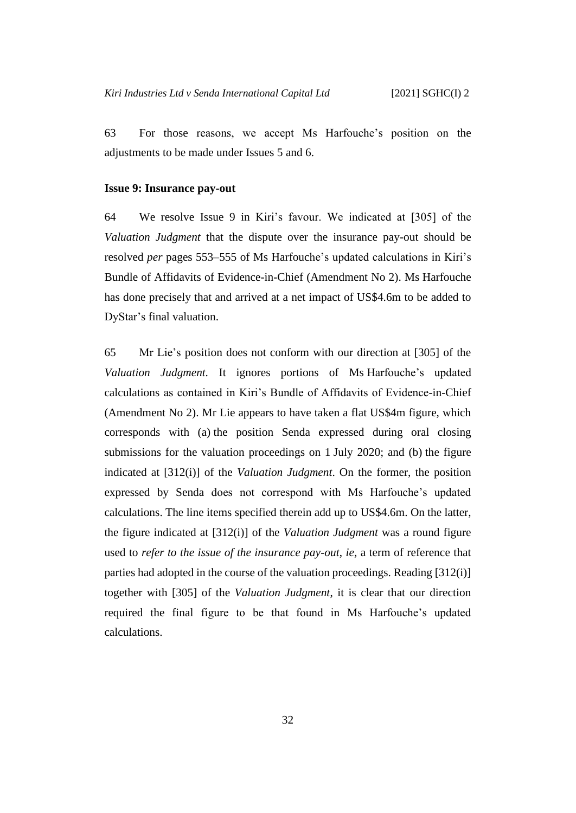63 For those reasons, we accept Ms Harfouche's position on the adjustments to be made under Issues 5 and 6.

#### <span id="page-35-0"></span>**Issue 9: Insurance pay-out**

64 We resolve Issue 9 in Kiri's favour. We indicated at [305] of the *Valuation Judgment* that the dispute over the insurance pay-out should be resolved *per* pages 553–555 of Ms Harfouche's updated calculations in Kiri's Bundle of Affidavits of Evidence-in-Chief (Amendment No 2). Ms Harfouche has done precisely that and arrived at a net impact of US\$4.6m to be added to DyStar's final valuation.

65 Mr Lie's position does not conform with our direction at [305] of the *Valuation Judgment.* It ignores portions of Ms Harfouche's updated calculations as contained in Kiri's Bundle of Affidavits of Evidence-in-Chief (Amendment No 2). Mr Lie appears to have taken a flat US\$4m figure, which corresponds with (a) the position Senda expressed during oral closing submissions for the valuation proceedings on 1 July 2020; and (b) the figure indicated at [312(i)] of the *Valuation Judgment*. On the former, the position expressed by Senda does not correspond with Ms Harfouche's updated calculations. The line items specified therein add up to US\$4.6m. On the latter, the figure indicated at [312(i)] of the *Valuation Judgment* was a round figure used to *refer to the issue of the insurance pay-out*, *ie*, a term of reference that parties had adopted in the course of the valuation proceedings. Reading [312(i)] together with [305] of the *Valuation Judgment*, it is clear that our direction required the final figure to be that found in Ms Harfouche's updated calculations.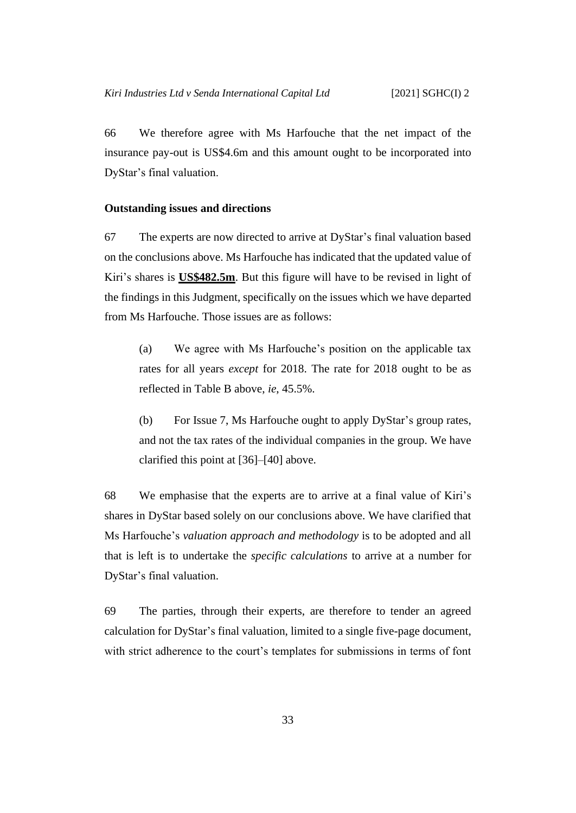66 We therefore agree with Ms Harfouche that the net impact of the insurance pay-out is US\$4.6m and this amount ought to be incorporated into DyStar's final valuation.

### <span id="page-36-0"></span>**Outstanding issues and directions**

67 The experts are now directed to arrive at DyStar's final valuation based on the conclusions above. Ms Harfouche has indicated that the updated value of Kiri's shares is **US\$482.5m**. But this figure will have to be revised in light of the findings in this Judgment, specifically on the issues which we have departed from Ms Harfouche. Those issues are as follows:

(a) We agree with Ms Harfouche's position on the applicable tax rates for all years *except* for 2018. The rate for 2018 ought to be as reflected in Table B above, *ie*, 45.5%.

(b) For Issue 7, Ms Harfouche ought to apply DyStar's group rates, and not the tax rates of the individual companies in the group. We have clarified this point at [\[36\]](#page-22-1)–[\[40\]](#page-23-1) above.

68 We emphasise that the experts are to arrive at a final value of Kiri's shares in DyStar based solely on our conclusions above. We have clarified that Ms Harfouche's *valuation approach and methodology* is to be adopted and all that is left is to undertake the *specific calculations* to arrive at a number for DyStar's final valuation.

69 The parties, through their experts, are therefore to tender an agreed calculation for DyStar's final valuation, limited to a single five-page document, with strict adherence to the court's templates for submissions in terms of font